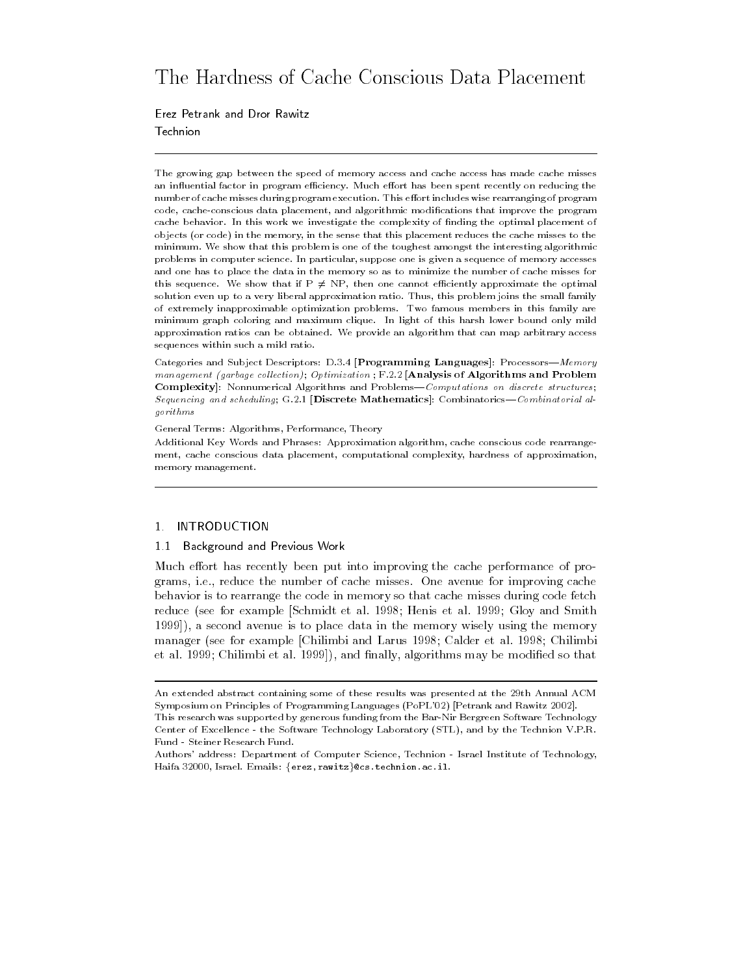# The Hardness of Cache Conscious Data Placement

Erez Petrank and Dror Rawitz Technion

The growing gap between the speed of memory access and cache access has made cache misses an inuential factor in program eciency- Much eort has been spent recently on reducing the number of cache misses during program execution- This eort includes wise rearranging of program code, cache-conscious data placement, and algorithmic modifications that improve the program cache behavior-behavior-behavior-behavior-behavior-behavior-behavior-behavior-behavior-behavior-behavior-behav objects (or code) in the memory, in the sense that this placement reduces the cache misses to the minimum-that the show that this problem is one of the toughest amongst the interesting algorithmic problems in computer science- In particular suppose one is given a sequence of memory accesses and one has to place the data in the memory so as to minimize the number of cache misses for this sequence. We show that if  $P \neq NP$ , then one cannot efficiently approximate the optimal solution even up to a very liberal approximation ratio- ratio- problem joins the small, and small family of extremely inapproximable optimization problems- Two famous members in this family are minimum graph coloring and maximum clique- In light of this harsh lower bound only mild approximation ratios can be obtained- i.e. provide an algorithm that can map arbitrary access sequences within such a mild ratio-

Categories and Sub ject Descriptors D-- 
Programming Languages ProcessorsMemory management garbage collection of a problem in the problem, who are respected the and Problem in complexity; communications and ProblemsComputations on and ProblemsComputations on discrete structures, Sequencing and scheduling G-- 
Discrete Mathematics CombinatoricsCombinatorial algorithms

general Terms Performance Theory Performance Theory Terms

Additional Key Words and Phrases Approximation algorithm cache conscious code rearrange ment, cache conscious data placement, computational complexity, hardness of approximation, memory management.

### 1. INTRODUCTION

### 1.1 Background and Previous Work

Much effort has recently been put into improving the cache performance of pro- $\blacksquare$  ie-reduce the number of cacheer of cacheer misses one avenue for inproving cacheer  $\blacksquare$ behavior is to rearrange the code in memory so that cache misses during code fetch reduce (see for example Schmidt et al. 1998; Henis et al. 1999; Gloy and Smith - a second avenue is to place data in the memory wisely using the memory manager (see for example [Chilimbi and Larus 1998; Calder et al. 1998; Chilimbi et algorithms may be modified so that  $\mathcal{C}$ 

An extended abstract containing some of these results was presented at the 29th Annual ACM Symposium on Principles of Programming Languages (PoPL'02) [Petrank and Rawitz 2002].

This research was supported by generous funding from the Bar-Nir Bergreen Software Technology Center of Excellence the Software Technology Laboratory STL and by the Technion V-P-R-Fund - Steiner Research Fund.

Authors address Department of Computer Science Technion Israel Institute of Technology Haifa 32000, Israel. Emails: {erez,rawitz}@cs.technion.ac.il.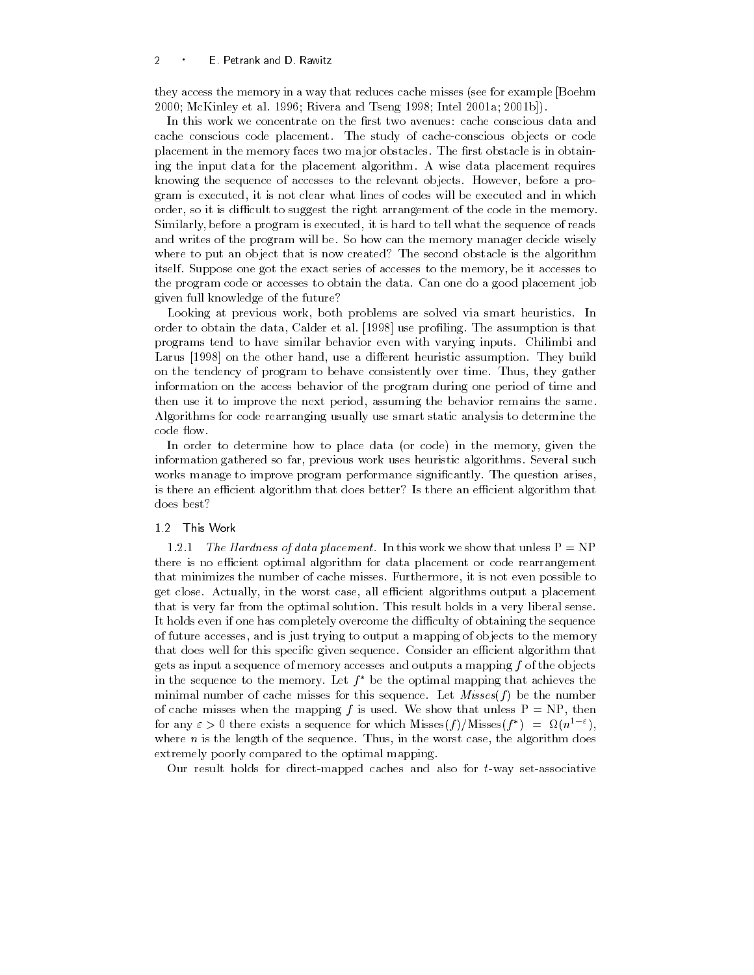they access the memory in a way that reduces cache misses (see for example [Boehm Mac Andrew et al and Tseng and Tseng and Tseng and Tseng and Tseng and Tseng and Tseng and Tseng and Tseng and

In this work we concentrate on the first two avenues: cache conscious data and cache conscious code placement The study of cacheconscious objects or code placement in the memory faces two major obstacles. The first obstacle is in obtaining the input data for the placement algorithm A wise data placement requires knowing the sequence of accesses to the relevant objects However- before a pro gram is therefore it is not clear what lines will be executed and in which will be annually and in which which order, as it is different to suggest the right arrangement of the code in the memory. permane a process of programme is the sequence of the sequence of reads the sequence of reads the sequence of and writes of the program will be. So how can the memory manager decide wisely where to put an object that is now created? The second obstacle is the algorithm itself Suppose one got the exact series of accesses to the memory- be it accesses to the program code or accesses to obtain the data Can one do a good placement job given full knowledge of the future

Looking at previous work- both problems are solved via smart heuristics In order to obtain the data- Calder et al use proling The assumption is that programs tend to have similar behavior even with varying inputs Chilimbi and and a die ook die ook die gewone handelij was die waaronde belangreef waaronder van die die meeste van die vol on the tendency of program to behave consistently over time Thus- they gather information on the access behavior of the program during one period of time and then use it to improve the next period- assuming the behavior remains the same Algorithms for code rearranging usually use smart static analysis to determine the code flow.

In order to determine how to place data or code in the memory- given the information gathered so far- previous work uses heuristic algorithms Several such works manage to improve program performance significantly. The question arises, is there an efficient algorithm that does better? Is there an efficient algorithm that does best?

1.2.1 The Hardness of data placement. In this work we show that unless  $P = NP$ there is no efficient optimal algorithm for data placement or code rearrangement that minimizes the number of cache misses Furthermore- it is not even possible to get close Actually- in the worst case- all ecient algorithms output a placement that is very far from the optimal solution. This result holds in a very liberal sense. It holds even if one has completely overcome the difficulty of obtaining the sequence of future accessing that is just trying to output a mapping to the proof to the memory that does well for this specific given sequence. Consider an efficient algorithm that gets as input a sequence of memory accesses and outputs a mapping f of the objects in the sequence to the memory. Let  $f^*$  be the optimal mapping that achieves the minimal number of cache misses for this sequence. Let  $Misses(f)$  be the number of cache misses when the mapping f is used We show that unless P NP- then for any  $\varepsilon > 0$  there exists a sequence for which Misses(f)/Misses(f") =  $\Omega(n^{\frac{1}{2}-\varepsilon})$ , where n is the sequence Thus-International case-international case-international case-international case-international case-international case-international case-international case-international case-international case-int extremely poorly compared to the optimal mapping

Our result holds for direct-mapped caches and also for  $t$ -way set-associative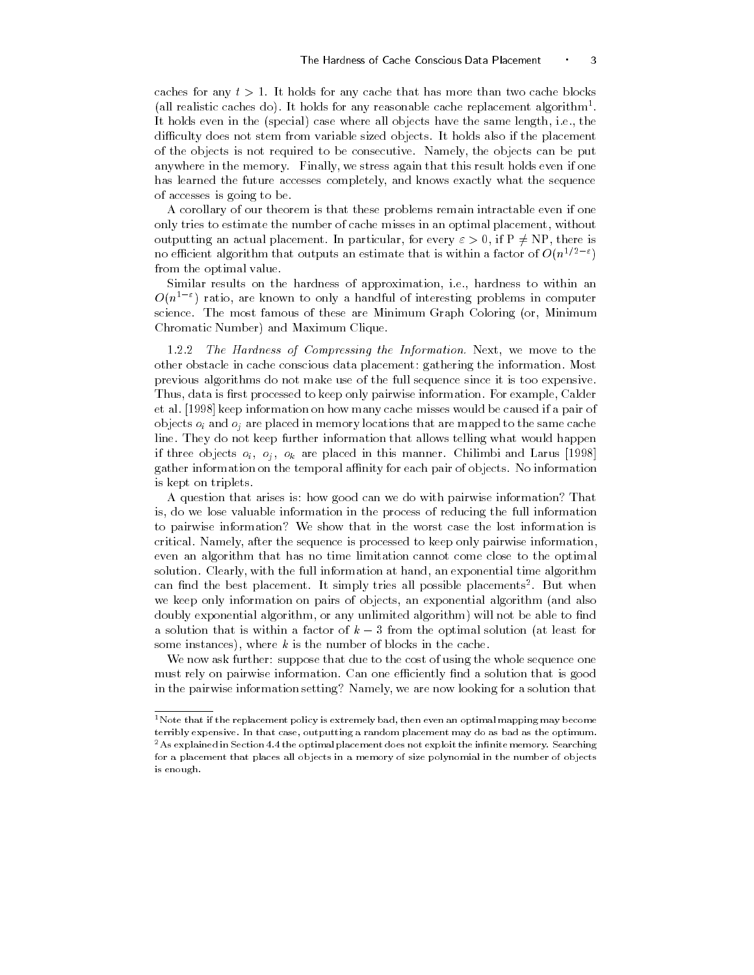caches for any  $t > 1$ . It holds for any cache that has more than two cache blocks (all realistic caches do). It holds for any reasonable cache replacement algorithm\*.  $\,$ it holds a case in the special case which where all objects have the same length- lengthdifficulty does not stem from variable sized objects. It holds also if the placement of the objects is not required to be consecutive Almoney, the objects can be put  $\sim$ any control in the memory, The memory control stress and the memory finally if  $\alpha$  is a stress even if one if has learned the future accesses completely- and knows exactly what the sequence of accesses is going to be

A corollary of our theorem is that these problems remain intractable even if one only tries to estimate the number of cache misses in an optimal placement- without outputting an actual placement. In particular, for every  $\varepsilon > 0$ , if  $\rm P \neq \rm NP,$  there is no efficient algorithm that outputs an estimate that is within a factor of  $O(n^{2+\varepsilon-\varepsilon})$ from the optimal value

similar results on the hardness of approximation- the main and  $\sim$  $O(n^{2-\gamma})$  ratio, are known to only a handful of interesting problems in computer science The most famous of these are Minimum Graph Coloring or- Minimum Chromatic Number) and Maximum Clique.

 The Hardness of Compressing the Information Next- we move to the other obstacle in cache conscious data placement gathering the information Most previous algorithms do not make use of the full sequence since it is too expensive Thus- data is rst processed to keep only pairwise information For example- Calder et al keep information on how many cache misses would be caused if a pair of objects oi and oj are placed in memory locations that are mapped to the same cache line. They do not keep further information that allows telling what would happen if three objects oi oj ok are placed in this manner Chilimbi and Larus gather information on the temporal affinity for each pair of objects. No information is kept on triplets

A question that arises is: how good can we do with pairwise information? That is- do we lose valuable information in the process of reducing the full information to pairwise information? We show that in the worst case the lost information is critical Namely- after the sequence is processed to keep only pairwise informationeven an algorithm that has no time limitation cannot come close to the optimal solution column, with the full information in exponential time and time algorithment information  $\mathcal{L}$ can find the best placement. It simply tries all possible placements". But when we keep only information on pairs of objects, we exponential algorithm , which also algorithm-controlled algorithm-controlled algorithm-controlled algorithm will not be able to complete the contr a solution that is within a factor of  $k-3$  from the optimal solution (at least for some instances- where k is the number of blocks in the cache

We now ask further: suppose that due to the cost of using the whole sequence one must rely on pairwise information. Can one efficiently find a solution that is good in the pairwise information setting Namely- we are now looking for a solution that

 $1$ Note that if the replacement policy is extremely bad, then even an optimal mapping may become terribly expensive- In that case outputting a random placement may do as bad as the optimum-- As explained in Section 4.4 the optimal placement does not exploit the infinite memory. Searching  $\,$ for a placement that places all objects in a memory of size polynomial in the number of objects is enough.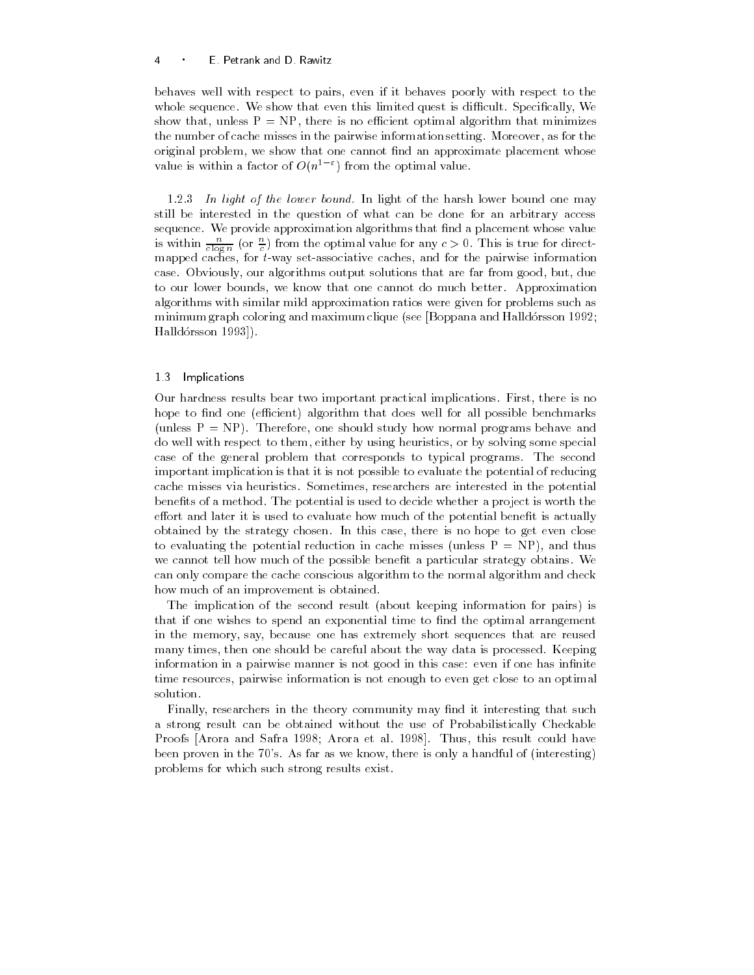### E Petrank and D Rawitz

behaves well with respect to pairs- even if it behaves poorly with respect to the whole sequence We show that even this limited quest is different that even this limited quest is different Special show that I amount that there is no economic optimal minimizes continuous to the number of caches misses in the pairwise information setting we call more call  $\sim$ original problem- we show that one cannot measure up prominent protections whose  $\mathbb{R}^n$ value is within a factor of  $O(n^2)$  from the optimal value.

 $1.2.3$  In light of the lower bound. In light of the harsh lower bound one may still be interested in the question of what can be done for an arbitrary access sequence. We provide approximation algorithms that find a placement whose value is within  $\frac{c}{c \log n}$  (or  $\frac{c}{c}$ ) from the optimal value for any  $c > 0$ . This is true for directmapped caches- for tway setassociative caches- and for the pairwise information case Obviously-but-due to the case of the far from good-due to the far from good-due to the far from good-due t to our lower bounds- we know that one cannot do much better Approximation algorithms with similar mild approximation ratios were given for problems such as minimum graph coloring and maximum clique (see  $\beta$ oppana and Halldórsson 1992; Halldorsson

## 13 Implications

Our hardness results bear two important practical implications First- there is no hope to find one (efficient) algorithm that does well for all possible benchmarks unless P NP Therefore- one show normal programs behave and programs behave and programs behave and programs b do well with respect to the method with respect to the method some special some special some special some special some special some special some special some special some special some special some special some special some case of the general problem that corresponds to typical programs The second important implication is that it is not possible to evaluate the potential of reducing cache misses via heuristics Sometimes- researchers are interested in the potential benefits of a method. The potential is used to decide whether a project is worth the effort and later it is used to evaluate how much of the potential benefit is actually obtained by the strategy chosen In this case- there is no hope to get even close to evaluating the potential reduction in cache misses unless P NP- and thus we cannot tell how much of the possible benefit a particular strategy obtains. We can only compare the cache conscious algorithm to the normal algorithm and check how much of an improvement is obtained.

The implication of the second result (about keeping information for pairs) is that if one wishes to spend an exponential time to find the optimal arrangement in the memory- say- because one has extremely short sequences that are reused many times- then one should be careful about the way data is processed Keeping information in a pairwise manner is not good in this case: even if one has infinite time resources- pairwise information is not enough to even get close to an optimal solution

Finally- researchers in the theory community may nd it interesting that such a strong result can be obtained without the use of Probabilistically Checkable Proofs Arora and Safra Arora et al Thus- this result could have been proven in the s As far as we know-the s As far as we know-the s As far as we know-the interesting of interesting  $\alpha$ problems for which such strong results exist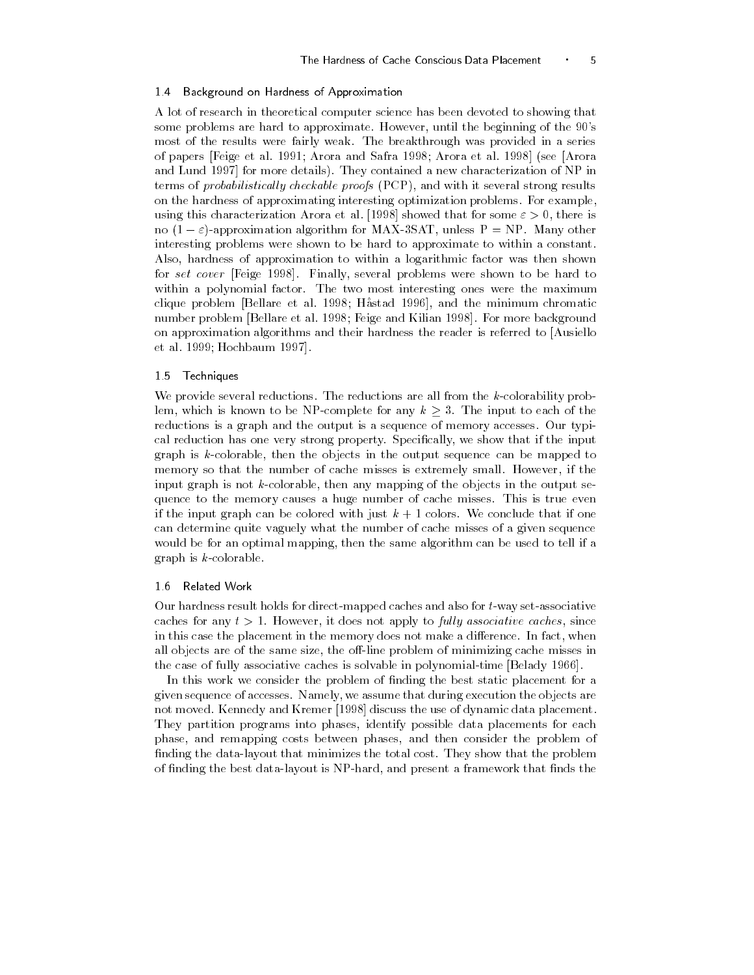### 14 Background on Hardness of Approximation

A lot of research in theoretical computer science has been devoted to showing that some problems are hard to approximate However- until the beginning of the s most of the results were fairly weak The breakthrough was provided in a series of papers Feige et al. Arora and Safra and Safra Arora and Safra Arora et al. Arora et al. Arora et al. Arora e and Lund is more details They contained a new contained a new contained a new characterization of NP in NP in terms of probabilistical ly checkable proofs PCP- and with it several strong results on the hardness of approximating interesting optimization problems. For example, using this characterization Arora et al showed that for some - there is  $\mu$ o | $\mu = \varepsilon$ |-approximation algorithm for MAA-55AT, unless  $\mu = \nu \tau$  . Many other interesting problems were shown to be hard to approximate to within a constant Also- hardness of approximation to within a logarithmic factor was then shown for set cover Feige Finally- several problems were shown to be hard to within a polynomial factor. The two most interesting ones were the maximum clique problem Bellare et al and the minimum chromatic problem Bellare et al and the minimum chromatic problem number problem Bellare et al **Feige and Kilian and Kilian and Kilian and Kilian and Kilian and Kilian and Kili** on approximation algorithms and their hardness the reader is referred to Ausiello et al le proposition de la proposition de la proposition de la proposition de la proposition de la proposition

### 15 Techniques

We provide several reductions. The reductions are all from the  $k$ -colorability problem, which is known to be NP-complete for any  $k \geq 3$ . The input to each of the reductions is a graph and the output is a sequence of memory accesses Our typi cal reduction has one very strong property strong property strong property specific the input of the input of the input of the input of the input of the input of the input of the input of the input of the input of the inpu graph is kcolorable-then the objects in the objects in the objects in the output sequence can be mapped to the memory so that the number of cacheer misses is extremely small However-the misses is extremely small Howeverinput graph is not kcolorable- then any mapping of the objects in the output se quence to the memory causes a huge number of cache misses This is true even if the input graph can be colored with just  $k + 1$  colors. We conclude that if one can determine quite vaguely what the number of cache misses of a given sequence would be for an optimal mapping-used the same algorithm can be used to tell if an algorithm can be used to tel graph is  $k$ -colorable.

### 1.6 Related Work

Our hardness result holds for direct-mapped caches and also for  $t$ -way set-associative caches for any t , we was a control to fully the property and the party caches of the caches of the control of in this case this placement in the memory does not memory a dierence Indianal and  $\cdots$ all objects are of the same size- the oline problem of minimizing cache misses in the case of fully associative caches is solvable in polynomialtime Belady

In this work we consider the problem of finding the best static placement for a given sequence of accesses forming that during execution that during execution the objects are the not moved Kennedy and Kremer discuss the use of dynamic data placement They partition programs into phases- identify possible data placements for each phase- and remapping costs between phases- and then consider the problem of finding the data-layout that minimizes the total cost. They show that the problem of nding the best datalayout is NPhard- and present a framework that nds the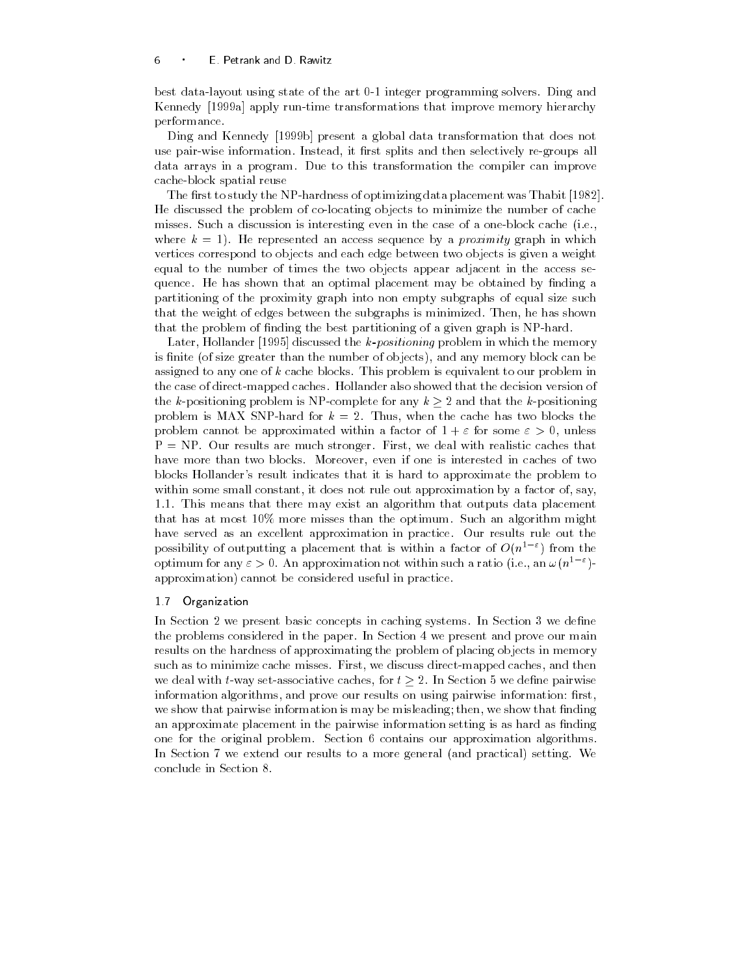best data-layout using state of the art 0-1 integer programming solvers. Ding and Kennedy a apply runtime transformations that improve memory hierarchy performance

Ding and Kennedy b present a global data transformation that does not use pair wise information instead in the splits and the selection is groups and data arrays in a program. Due to this transformation the compiler can improve cacheblock spatial reuse

The first to study the NP-hardness of optimizing data placement was Thabit [1982] He discussed the problem of colocating objects to minimize the number of cache misses. Such a discussion is interesting even in the case of a one-block cache  $(i.e.,$ where  $k = 1$ . He represented an access sequence by a *proximity* graph in which vertices correspond to objects and each edge between two objects is given a weight equal to the number of times the two objects appear adjacent in the access se quence. He has shown that an optimal placement may be obtained by finding a partitioning of the proximity graph into non empty subgraphs of equal size such that the weight of edges between the subgraphs is minimized Then- he has shown that the problem of finding the best partitioning of a given graph is NP-hard.

Later- Hollander discussed the kpositioning problem in which the memory is inited that is a size of the number of objects-property and any memory block can be any memory assigned to any one of  $k$  cache blocks. This problem is equivalent to our problem in the case of direct-mapped caches. Hollander also showed that the decision version of the k-positioning problem is NP-complete for any  $k \geq 2$  and that the k-positioning problem is matrix which for a cachel the cache the cache for the cacheline  $\alpha$ problem cannot be approximated within a factor of for some - unless r results are results are much stronger First- with caches realistic caches that have more than two blocks Moreover- even if one is interested in caches of two blocks Hollander's result indicates that it is hard to approximate the problem to within some some some constant of the same such a factor of proximation by a factor of-state  $\mathcal{L}_{\mathcal{A}}$ 1.1. This means that there may exist an algorithm that outputs data placement that has at most  $10\%$  more misses than the optimum. Such an algorithm might have served as an excellent approximation in practice. Our results rule out the possibility of outputting a placement that is within a factor of  $O(n^2 - \epsilon)$  from the optimum for any  $\varepsilon > 0$ . An approximation not within such a ratio (i.e., an  $\omega(n^{\perp})$  = approximation) cannot be considered useful in practice

### 17 Organization

In Section 2 we present basic concepts in caching systems. In Section 3 we define the problems considered in the paper. In Section 4 we present and prove our main results on the hardness of approximating the problem of placing objects in memory such as to minimize caches minimized we direct misses first-then pp caches-and minimized cacheswe deal with t-way set-associative caches, for  $t \geq 2$ . In Section 5 we define pairwise information algorithms- and prove our results on using pairwise information rstwe show that pairwise information is may be misleading the misleading then  $\mathcal{M}$ an approximate placement in the pairwise information setting is as hard as finding one for the original problem. Section  $6$  contains our approximation algorithms. In Section 7 we extend our results to a more general (and practical) setting. We conclude in Section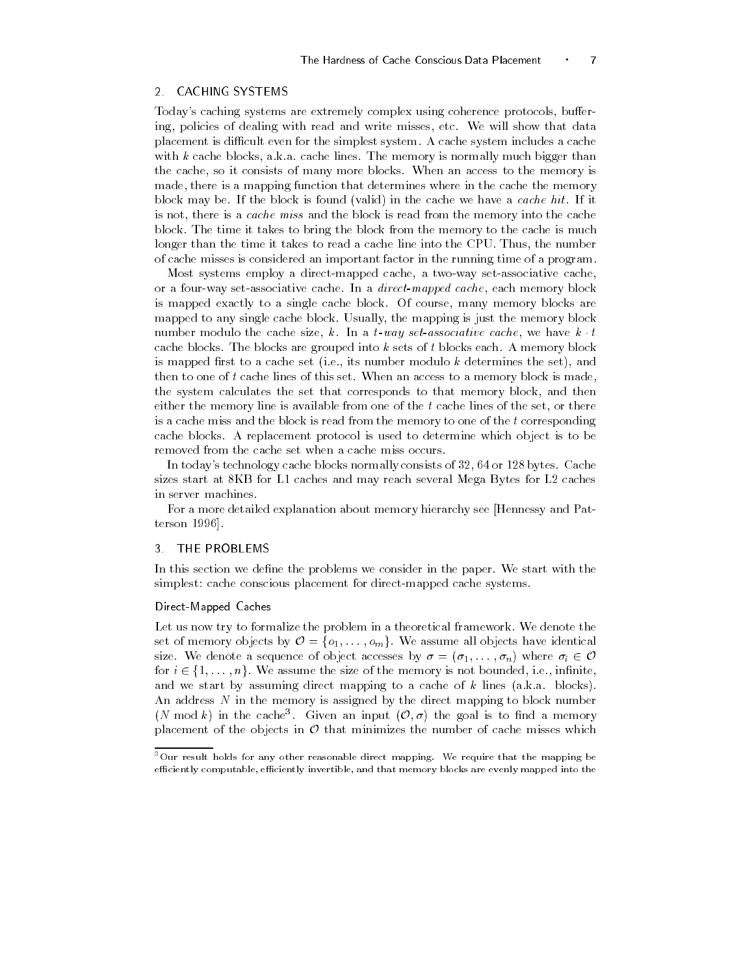### **CACHING SYSTEMS**  $\overline{2}$

Todays caching systems are extremely complex using coherence protocols- buer ing- policies of dealing with read and write misses- etc We will show that data placement is difficult even for the simplest system. A cache system includes a cache with k cacheer blocks-blocks-lines The memory is normally much bigger than  $\mathcal{C}$ the cache-, at it consists of money more also include the memory is the more property is made-there is a mapping function that determines where in the cachet the memory block may be. If the block is found (valid) in the cache we have a *cache hit*. If it is not, there is a cache miss and the block is read from the memory into the cache block The time it takes to bring the block from the memory to the cache is much longer than the time it takes to read a cache line into the CPU Thus- the number of cache misses is considered an important factor in the running time of a program

Most systems employ a directmapped cache- a twoway setassociative cacheor a fourway setassociative cache In a directmapped cache- each memory block is mapped exactly to a single cache block Of course- many memory blocks are mapped to any single cache block Usually- the mapping is just the memory block number modulo the cache size,  $\kappa$ . In a  $t$ -way set-associative cache, we have  $\kappa$   $t$ cache blocks. The blocks are grouped into  $k$  sets of  $t$  blocks each. A memory block is mapped rst to a cache set ie- its number modulo k determines the set- and then to one of  $t$  cache lines of this set. When an access to a memory block is made, the system calculates the set that corresponds to that memory block- and then either the memory line is available from one of the t cache lines of the set- or there is a cache miss and the block is read from the memory to one of the  $t$  corresponding cache blocks A replacement protocol is used to determine which object is to be removed from the cache set when a cache miss occurs

In todays technology cache blocks normally consists of 
- or 
 bytes Cache sizes start at 8KB for L1 caches and may reach several Mega Bytes for L2 caches in server machines

For a more detailed explanation about memory hierarchy see Hennessy and Pat terson in the contract of the contract of the contract of the contract of the contract of the contract of the

### 3 THE PROBLEMS

In this section we define the problems we consider in the paper. We start with the simplest: cache conscious placement for direct-mapped cache systems.

### Direct-Mapped Caches

Let us now try to formalize the problem in a theoretical framework. We denote the set of memory objects by  $\mathcal{O} = \{o_1, \ldots, o_m\}$ . We assume all objects have identical size. We denote a sequence of object accesses by  $\sigma = (\sigma_1, \ldots, \sigma_n)$  where  $\sigma_i \in \mathcal{O}$ for  $i \in \{1, \ldots, n\}$ . We assume the size of the memory is not bounded, i.e., infinite, and we start by assuming direct mapping to a cache of k lines (a.k.a. blocks). An address N in the memory is assigned by the direct mapping to block number (N mod k) in the cache<sup>3</sup>. Given an input  $(0, \sigma)$  the goal is to find a memory placement of the objects in  $O$  that minimizes the number of cache misses which

<sup>-</sup>Our result holds for any other reasonable direct mapping- We require that the mapping be efficiently computable, efficiently invertible, and that memory blocks are evenly mapped into the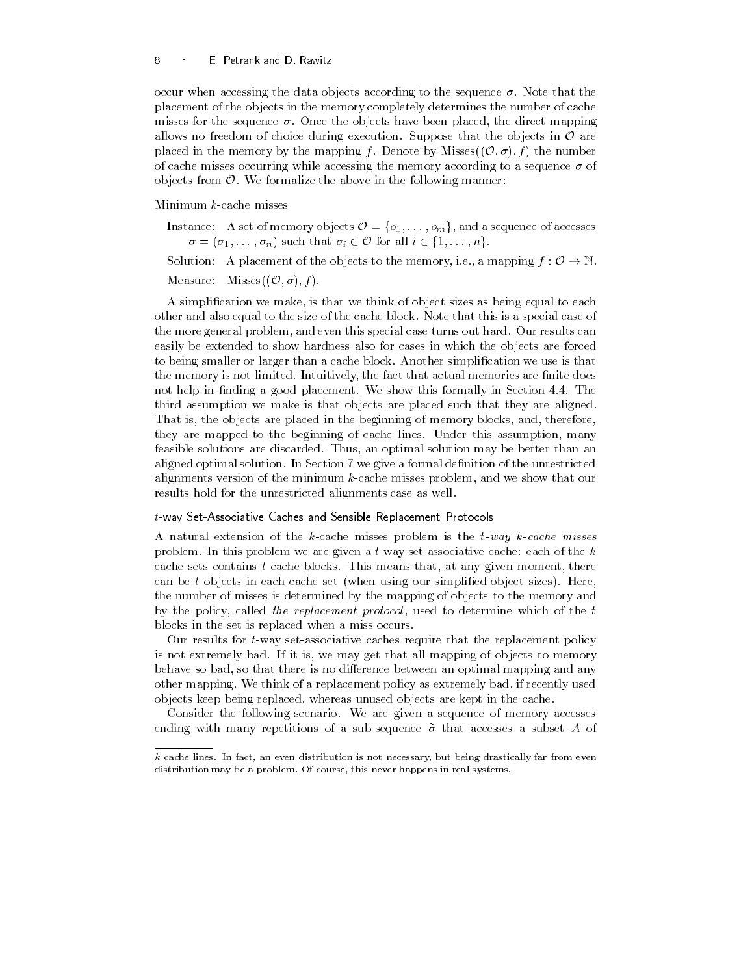### E Petrank and D Rawitz

occur when accessing the data objects according to the sequence  $\sigma$ . Note that the placement of the objects in the memory completely determines the number of cache misses for the sequence Once the objects have been placed- the direct mapping allows no freedom of choice during execution. Suppose that the objects in  $\mathcal O$  are placed in the memory by the mapping f. Denote by Misses $((0, \sigma), f)$  the number of cache misses occurring while accessing the memory according to a sequence  $\sigma$  of objects from  $\mathcal{O}$ . We formalize the above in the following manner:

Minimum  $k$ -cache misses

Instance: A set of memory objects  $\mathcal{O} = \{o_1, \ldots, o_m\}$ , and a sequence of accesses  $\sigma = (\sigma_1, \ldots, \sigma_n)$  such that  $\sigma_i \in \mathcal{O}$  for all  $i \in \{1, \ldots, n\}$ .

Solution: A placement of the objects to the memory, i.e., a mapping  $f: \mathcal{O} \to \mathbb{N}$ .

Measure: Misses $((\mathcal{O}, \sigma), f)$ .

a simplication we that we think of object sizes as being the object sizes as being equal to each to each other and also equal to the size of the cache block Note that this is a special case of the more general problem, which is special case this special case this special case the special case easily be extended to show hardness also for cases in which the objects are forced to being smaller or larger than a cache block Another simplication we use is that the memory is not limited Intuitively-limit memories are memories are nited as a second not help in finding a good placement. We show this formally in Section 4.4. The third assumption we make is that objects are placed such that they are aligned That is- the objects are placed in the beginning of memory blocks- and- thereforethey are mapped to the beginning of cache lines Under this assumption- many feasible solutions are discarded Thus- an optimal solution may be better than an aligned optimal solution. In Section 7 we give a formal definition of the unrestricted alignments version of the minimum kcache minimum problems, which we show that our results hold for the unrestricted alignments case as well

### $t$ -way Set-Associative Caches and Sensible Replacement Protocols

A natural extension of the  $k$ -cache misses problem is the  $t$ -way  $k$ -cache misses problem. In this problem we are given a t-way set-associative cache: each of the  $k$ cache sets contains the sets contains thatcan be t objects in each cache set (when using our simplified object sizes). Here, the number of misses is determined by the mapping of objects to the memory and of the policy-and the replacement protocol -which is different control to the t blocks in the set is replaced when a miss occurs

Our results for  $t$ -way set-associative caches require that the replacement policy is not extremely bad If it is, the map  $\pi$  it is all mapping of objects to memory behave so bad-that there is no diepen and any optimal mapping and any optimal mapping and any optimal mapping a other mapping We think of a replacement policy as extremely badobjects keep being replaced- whereas unused objects are kept in the cache

Consider the following scenario We are given a sequence of memory accesses ending with many repetitions of a sub-sequence  $\tilde{\sigma}$  that accesses a subset A of

r cache lines, an even distribution in from the from the context of the drastically far from even the context of distribution may be a problem- Of course this never happens in real systems-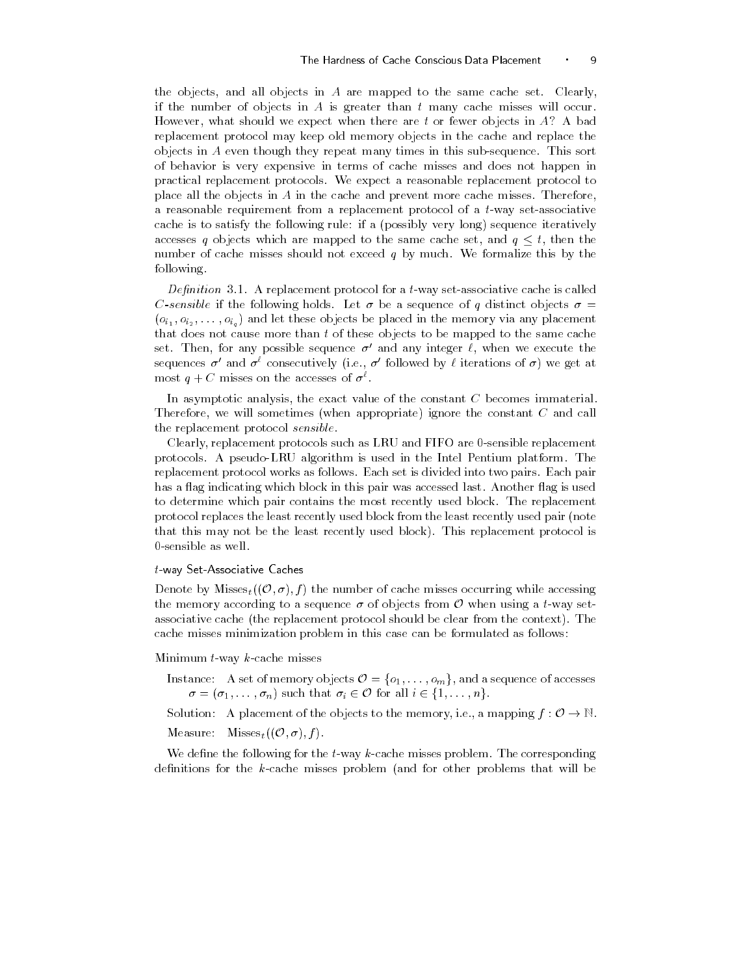the objects- and all objects in A are mapped to the same cache set Clearlyif the number of objects in A is greater than  $t$  many cache misses will occur. However- what should we expect when there are t or fewer objects in A A bad replacement protocol may keep old memory objects in the cache and replace the objects in  $A$  even though they repeat many times in this sub-sequence. This sort of behavior is very expensive in terms of cache misses and does not happen in practical replacement protocols We expect a reasonable replacement protocol to place all the objects in  $A$  in the cache and prevent more cache misses. Therefore, a reasonable requirement from a replacement protocol of a  $t$ -way set-associative cache is to satisfy the following rule: if a (possibly very long) sequence iteratively accesses q objects which are mapped to the same cache set, and  $q \leq t$ , then the number of cache misses should not exceed q by much. We formalize this by the following

De-nition - A replacement protocol for a tway setassociative cache is called C-sensible if the following holds. Let  $\sigma$  be a sequence of q distinct objects  $\sigma =$  $(o_{i_1}, o_{i_2}, \ldots, o_{i_n})$  and let these objects be placed in the memory via any placement that does not cause more than t of these objects to be mapped to the same cache set. Then, for any possible sequence  $\sigma$  and any integer  $\ell$ , when we execute the sequences  $\sigma$  and  $\sigma^*$  consecutively (i.e.,  $\sigma$  followed by  $\ell$  iterations of  $\sigma$ ) we get at most  $q + C$  misses on the accesses of  $\sigma^*$ .

In asymptotic analysis- the exact value of the constant C becomes immaterial Therefore- we will sometimes when appropriate ignore the constant C and call the replacement protocol sensible

Clearly- replacement protocols such as LRU and FIFO are sensible replacement protocols A pseudoLRU algorithm is used in the Intel Pentium platform The replacement protocol works as follows Each set is divided into two pairs Each pair has a flag indicating which block in this pair was accessed last. Another flag is used to determine which pair contains the most recently used block The replacement protocol replaces the least recently used block from the least recently used pair (note that this may not be the least recently used block). This replacement protocol is 0-sensible as well.

### $t$ -way Set-Associative Caches

Denote by Misses<sub>t</sub> $((\mathcal{O}, \sigma), f)$  the number of cache misses occurring while accessing the memory according to a sequence  $\sigma$  of objects from  $\mathcal O$  when using a t-way setassociative cache (the replacement protocol should be clear from the context). The cache misses minimization problem in this case can be formulated as follows

Minimum  $t$ -way  $k$ -cache misses

- Instance: A set of memory objects  $\mathcal{O} = \{o_1, \ldots, o_m\}$ , and a sequence of accesses  $\sigma = (\sigma_1, \ldots, \sigma_n)$  such that  $\sigma_i \in \mathcal{O}$  for all  $i \in \{1, \ldots, n\}$ .
- Solution: A placement of the objects to the memory, i.e., a mapping  $f: \mathcal{O} \to \mathbb{N}$ .
- Measure: Misses<sub>t</sub> $((\mathcal{O}, \sigma), f)$ .

We define the following for the  $t$ -way k-cache misses problem. The corresponding definitions for the  $k$ -cache misses problem (and for other problems that will be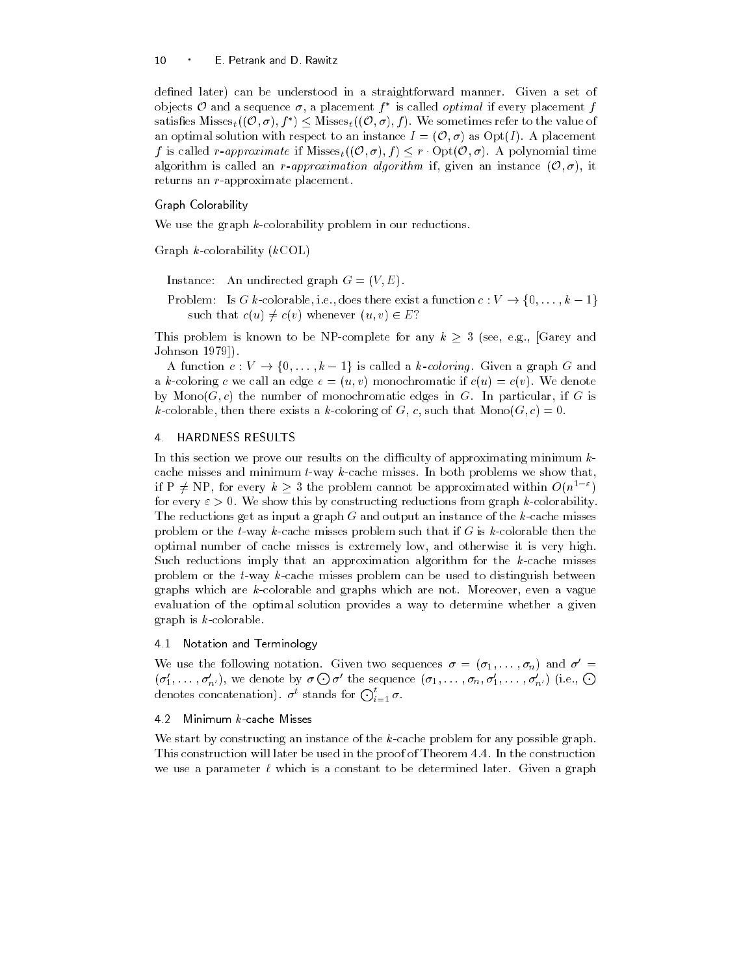defined later) can be understood in a straightforward manner. Given a set of objects  $\mathcal O$  and a sequence  $\sigma$ , a placement  $f^*$  is called *optimal* if every placement  $f$ satisfies  $M$ isses $_{t}((\mathcal{O}, \sigma), f^{*}) \leq M$ isses $_{t}((\mathcal{O}, \sigma), f)$ . We sometimes refer to the value of an optimal solution with respect to an instance  $I = (\mathcal{O}, \sigma)$  as  $Opt(I)$ . A placement f is called r-approximate if  $M$ isses $_{t}((\mathcal{O}, \sigma), f) \leq r \cdot \text{Opt}(\mathcal{O}, \sigma)$ . A polynomial time algorithm is called an *r*-approximation algorithm if, given an instance  $(0, \sigma)$ , it returns an  $r$ -approximate placement.

### Graph Colorability

We use the graph  $k$ -colorability problem in our reductions.

Graph  $k$ -colorability  $(kCOL)$ 

Instance: An undirected graph  $G = (V, E)$ .

Problem: Is G k-colorable, i.e., does there exist a function  $c: V \to \{0, \ldots, k-1\}$ such that  $c(u) \neq c(v)$  whenever  $(u, v) \in E$ ?

This problem is known to be NP-complete for any  $k \geq 3$  (see, e.g., Garey and Johnson

A function  $c: V \to \{0, \ldots, k-1\}$  is called a k-coloring. Given a graph G and a k-coloring c we call an edge  $e = (u, v)$  monochromatic if  $c(u) = c(v)$ . We denote by MonoG c the number of monochromatic edges in G In particular- if G is kcolorable- then there exists a kcoloring of G- c- such that MonoG c

### 4 HARDNESS RESULTS

In this section we prove our results on the difficulty of approximating minimum  $k$ cache misses and minimum  $t$ -way  $k$ -cache misses. In both problems we show that, if P  $\neq$  NP, for every  $k \geq 3$  the problem cannot be approximated within  $O(n^{1-\varepsilon})$ for every  $\varepsilon > 0$ . We show this by constructing reductions from graph k-colorability. The reductions get as input a graph  $G$  and output an instance of the  $k$ -cache misses problem or the t-way k-cache misses problem such that if G is k-colorable then the optimal number of cache misses is extremely low- and otherwise it is very high Such reductions imply that an approximation algorithm for the  $k$ -cache misses problem or the  $t$ -way  $k$ -cache misses problem can be used to distinguish between graphs which are kcolorable and graphs which are not more are not more and are  $\eta$ evaluation of the optimal solution provides a way to determine whether a given graph is  $k$ -colorable.

### 4.1 Notation and Terminology

We use the following notation. Given two sequences  $\sigma = (\sigma_1, \ldots, \sigma_n)$  and  $\sigma =$  $(\sigma'_1,\ldots,\sigma'_{n'})$ , we denote by  $\sigma\bigodot \sigma'$  the sequence  $(\sigma_1,\ldots,\sigma_n,\sigma'_1,\ldots,\sigma'_{n'})$  (i.e.,  $\bigodot$ denotes concatenation).  $\sigma^t$  stands for  $\bigodot_{i=1}^t \sigma$ .

We start by constructing an instance of the  $k$ -cache problem for any possible graph. This construction will later be used in the proof of Theorem 4.4. In the construction we use a parameter  $\ell$  which is a constant to be determined later. Given a graph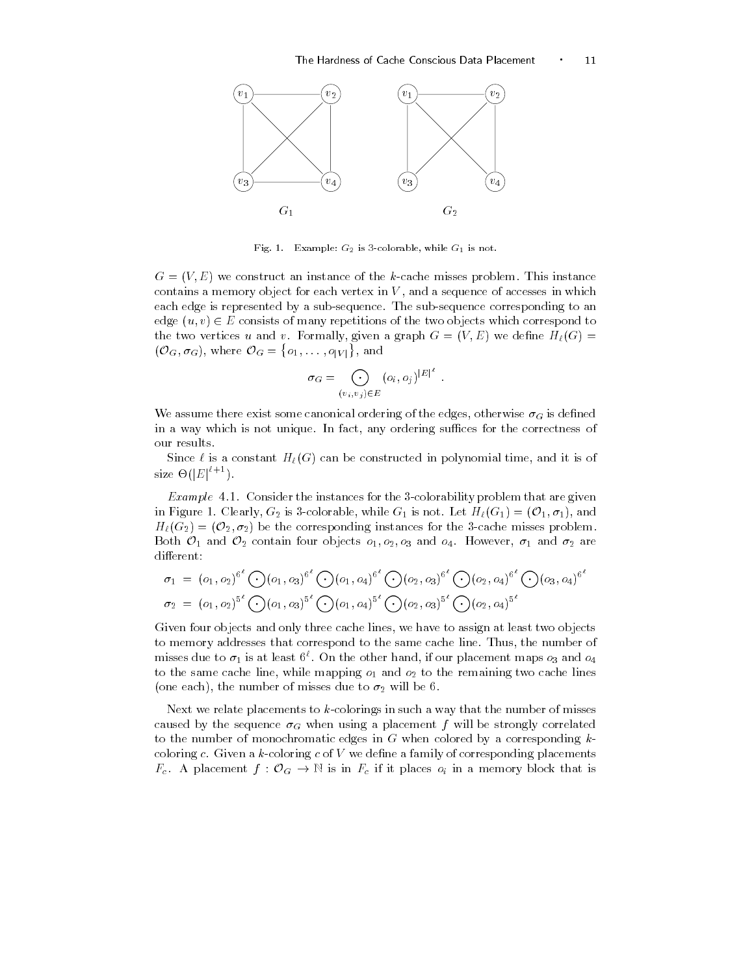

request consequently and colorable while  $\mathbb{F}_1$  is not in

 $G = (V, E)$  we construct an instance of the k-cache misses problem. This instance contains a memory object for each vertex in V - and a sequence of accesses in which which we are the sequence of a each edge is represented by a subsequence The subsequence corresponding to an edge  $(u, v) \in E$  consists of many repetitions of the two objects which correspond to the two vertices u and vertices in graph G  $\alpha$  , i.e., we define  $\alpha$  $(\mathcal{O}_G, \sigma_G)$ , where  $\mathcal{O}_G = \{o_1, \ldots$  $\{o_1, \ldots, o_{|V|}\}\$ , and

$$
\sigma_G = \bigodot_{(v_i, v_j) \in E} (o_i, o_j)^{|E|^{\ell}}.
$$

We assume there exist some canonical ordering of the edges- otherwise G is dened in a way which is not unique In fact- any ordering suces for the correctness of our results

Since is a constant H-G can be constructed in polynomial time- and it is of size  $\Theta(|E|^{\iota+1})$ .

Example - Consider the instances for the colorability problem that are given in Figure 1. Clearly,  $G_2$  is 3-colorable, while  $G_1$  is not. Let  $H_{\ell}(G_1) = (\mathcal{O}_1, \sigma_1)$ , and  $H_{\ell}(G_2) = (O_2, \sigma_2)$  be the corresponding instances for the 3-cache misses problem. Both  $\mathcal{O}_1$  and  $\mathcal{O}_2$  contain four objects  $o_1, o_2, o_3$  and  $o_4$ . However,  $\sigma_1$  and  $\sigma_2$  are different:

$$
\sigma_1 = (o_1, o_2)^{6^{\ell}} \bigodot (o_1, o_3)^{6^{\ell}} \bigodot (o_1, o_4)^{6^{\ell}} \bigodot (o_2, o_3)^{6^{\ell}} \bigodot (o_2, o_4)^{6^{\ell}} \bigodot (o_3, o_4)^{6^{\ell}}
$$
  

$$
\sigma_2 = (o_1, o_2)^{5^{\ell}} \bigodot (o_1, o_3)^{5^{\ell}} \bigodot (o_1, o_4)^{5^{\ell}} \bigodot (o_2, o_3)^{5^{\ell}} \bigodot (o_2, o_4)^{5^{\ell}}
$$

Given four objects and only three cache lines- we have to assign at least two objects to memory addresses that correspond to the same cache line Thus- the number of misses due to  $\sigma_1$  is at least  $\mathfrak{v}^\circ$ . On the other hand, if our placement maps  $o_3$  and  $o_4$ the same case cannot called  $\mu$  and o same cacheer  $\alpha$  and o to the remaining two caches  $\alpha$ , the number of misses due to the number of misses of misses due to a set

Next we relate placements to  $k$ -colorings in such a way that the number of misses caused by the sequence G when using a placement f will be strongly correlated by the strongly correlated by the to the number of monochromatic edges in  $G$  when colored by a corresponding  $k$ coloring  $c$ . Given a  $k$ -coloring  $c$  of  $V$  we define a family of corresponding placements  $F_c$ . A placement  $f: \mathcal{O}_G \to \mathbb{N}$  is in  $F_c$  if it places  $o_i$  in a memory block that is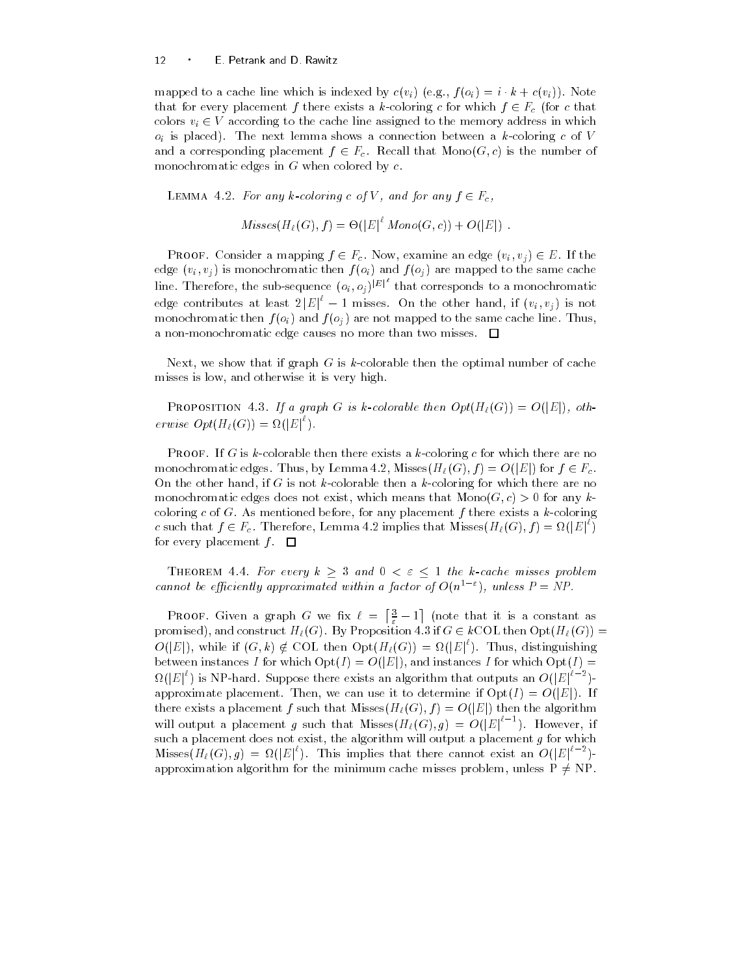### E Petrank and D Rawitz

mapped to a cache line which is indexed by  $c(v_i)$  (e.g.,  $f(v_i) = v \cdot \kappa + c(v_i)$ ). Note that for every placement  $f$  there exists a  $k$ -coloring  $c$  for which  $f \in F_c$  (for  $c$  that colors  $v_i \in V$  according to the cache line assigned to the memory address in which oi is placed The next lemma shows a connection between a kcoloring <sup>c</sup> of <sup>V</sup> and a corresponding placement  $f \in F_c$ . Recall that  $Mono(G, c)$  is the number of monochromatic edges in  $G$  when colored by  $c$ .

LEMMA 4.2. For any k-coloring c of V, and for any  $f \in F_c$ ,

$$
Misses(H_{\ell}(G), f) = \Theta(|E|^{\ell} \; Mono(G, c)) + O(|E|)
$$

**PROOF.** Consider a mapping  $f \in F_c$ . Now, examine an edge  $(v_i, v_j) \in E$ . If the edecated via monochromatic then f on  $\mathbf{J} \setminus \mathbf{v}$  and f of our mapped to the same cacheroid to the same cacheroid of  $\mathbf{J} \setminus \mathbf{v}$  and  $\mathbf{v}$ line. Therefore, the sub-sequence  $(o_i, o_j)^{|E|}$  that corresponds to a monochromatic edge contributes at least  $2|E|^t-1$  misses. On the other hand, if  $(v_i, v_j)$  is not monochromatic theory  $f \circ f$  and f of and monochromatic same cache line Thus-Index a non-monochromatic edge causes no more than two misses.  $\Box$ 

Next- we show that if graph G is kcolorable then the optimal number of cache misses is low-part it is very low-part in the company

**PROPOSITION** 4.3. If a graph G is k-colorable then  $Opt(H_\ell(G)) = O(|E|)$ , otherwise  $Opt(H_{\ell}(G)) = \Omega(|E|^{\epsilon}).$ 

**PROOF.** If G is k-colorable then there exists a k-coloring c for which there are no monochromatic edges. Thus, by Lemma 4.2, Misses $(H_{\ell}(G), f) = O(|E|)$  for  $f \in F_c$ . , if the other hand-if is go in here are not colorable the colorable then a colorable there are no which the n monochromatic edges does not exist, which means that MonoG c to the MonoG c any k coloring c of G as mentioned before-place way placement f there exists a coloring the c such that  $f \in F_c$ . Therefore, Lemma 4.2 implies that  $M is$ ses $(H_{\ell}(G), f) = \Omega(|E|^{\ell})$ for every placement  $f$ .  $\Box$ 

THEOREM 4.4. For every  $k \geq 3$  and  $0 < \varepsilon \leq 1$  the k-cache misses problem cannot be efficiently approximated within a factor of  $O(n^2 - 1)$ , unless  $P \equiv NP$ .

**PROOF.** Given a graph G we fix  $\ell = \left[\frac{3}{\epsilon} - 1\right]$  (note that it is a constant as promised), and construct  $H_{\ell}(G)$ . By Proposition 4.3 if  $G \in k\text{COL}$  then  $\text{Opt}(H_{\ell}(G)) =$  $O(|E|)$ , while if  $(G, k) \notin \text{COL}$  then  $\text{Opt}(H_{\ell}(G)) = \Omega(|E|^{\ell})$ . Thus, distinguishing between instances I for which  $\mathrm{Opt}(I) = O(|E|)$ , and instances I for which  $\mathrm{Opt}(I) =$  $\Omega(|E|^{\epsilon})$  is NP-hard. Suppose there exists an algorithm that outputs an  $O(|E|^{\epsilon-2})$ approximate placement. Then, we can use it to determine if  $\mathrm{Opt}(I) = O(|E|)$ . If there exists a placement f such that Misses( $H_{\ell}(G), f$ ) =  $O(|E|)$  then the algorithm will output a placement g such that Misses $(H_{\ell}(G), g) = O(|E|^{t-1})$ . However, if such a placement does not exist- the algorithm will output a placement g for which Misses  $(H_{\ell}(G), g) = \Omega(|E|^{\kappa})$ . This implies that there cannot exist an  $O(|E|^{\kappa-2})$ approximation algorithm for the minimum cache misses problem, unless  $P \neq NP$ .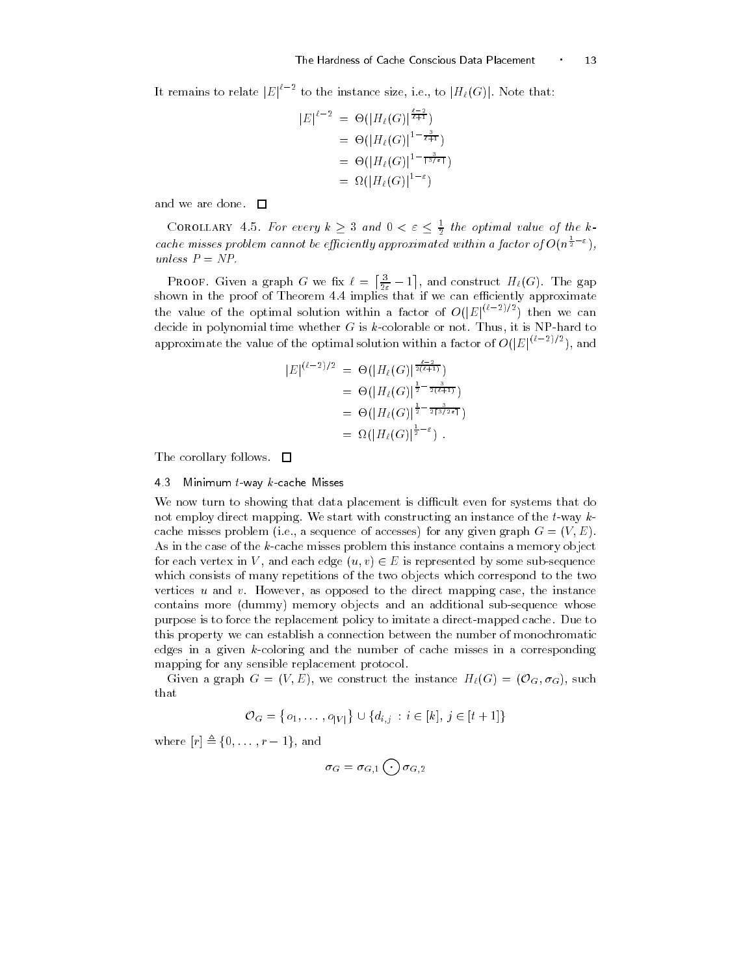It remains to relate  $|E|^{t-2}$  to the instance size, i.e., to  $|H_{\ell}(G)|$ . Note that:

$$
|E|^{l-2} = \Theta(|H_{l}(G)|^{\frac{l-2}{l+1}})
$$
  
=  $\Theta(|H_{l}(G)|^{1-\frac{3}{l+1}})$   
=  $\Theta(|H_{l}(G)|^{1-\frac{3}{l+1}})$   
=  $\Omega(|H_{l}(G)|^{1-\epsilon})$ 

and we are done.  $\square$ 

COROLLARY 4.5. For every  $k\geq 3$  and  $0<\varepsilon\leq \frac{1}{2}$  the optimal value of the kcache misses problem cannot be efficiently approximated within a factor of  $O(n^{\frac{1}{2}-\varepsilon})$ , unless  $P = NP$ .

**PROOF.** Given a graph G we fix  $\ell = \left[\frac{3}{2\epsilon} - 1\right]$ , and construct  $H_{\ell}(G)$ . The gap shown in the proof of Theorem implies that if we can eciently approximate the value of the optimal solution within a factor of  $O(|E|^{(\epsilon-2)/2})$  then we can decide in polynomial time whether G is kcolorable or not Thus- it is NPhard to approximate the value of the optimal solution within a factor of  $O(|E|^{(\epsilon-2)/2})$ , and

$$
|E|^{(\ell-2)/2} = \Theta(|H_{\ell}(G)|^{\frac{\ell-2}{2(\ell+1)}})
$$
  
=  $\Theta(|H_{\ell}(G)|^{\frac{1}{2}-\frac{3}{2(\ell+1)}})$   
=  $\Theta(|H_{\ell}(G)|^{\frac{1}{2}-\frac{3}{2(3/2\epsilon)}})$   
=  $\Omega(|H_{\ell}(G)|^{\frac{1}{2}-\epsilon})$ .

The corollary follows.  $\square$ 

### 4.3 Minimum  $t$ -way  $k$ -cache Misses

We now turn to showing that data placement is difficult even for systems that do not employ direct mapping. We start with constructing an instance of the  $t$ -way  $k$ cache misses problem in the sequence of accesses for any given graph G  $\rightarrow$  11 m  $\rightarrow$ As in the case of the  $k$ -cache misses problem this instance contains a memory object for each vertex in V, and each edge  $(u, v) \in E$  is represented by some sub-sequence which consists of many repetitions of the two objects which correspond to the two vertices under the instance under the instance mapping case-the instance mapping case-the instance mapping casecontains more (dummy) memory objects and an additional sub-sequence whose purpose is to force the replacement policy to imitate a direct-mapped cache. Due to this property we can establish a connection between the number of monochromatic edges in a given  $k$ -coloring and the number of cache misses in a corresponding mapping for any sensible replacement protocol

Given a graph  $G = (V, E)$ , we construct the instance  $H_{\ell}(G) = (O_G, \sigma_G)$ , such that

$$
\mathcal{O}_G = \{o_1, \ldots, o_{|V|}\} \cup \{d_{i,j} : i \in [k], j \in [t+1]\}
$$

where  $[r] \triangleq \{0, \ldots, r-1\}$ , and

$$
\sigma_G=\sigma_{G,1}\bigodot \sigma_{G,2}
$$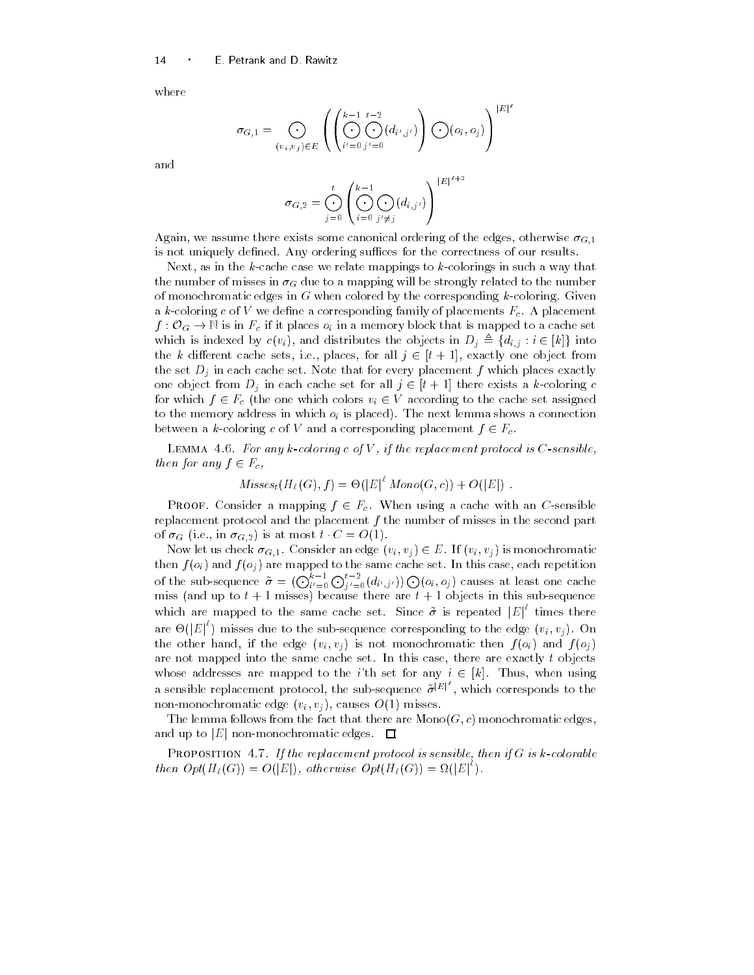where

$$
\sigma_{G,1} = \bigodot_{(v_i, v_j) \in E} \left( \left( \bigodot_{i'=0}^{k-1} \bigodot_{j'=0}^{t-2} (d_{i',j'}) \right) \bigodot (o_i, o_j) \right)^{|E|^t}
$$

and

$$
\sigma_{G,2} = \bigodot_{j=0}^t \left( \bigodot_{i=0}^{k-1} \bigodot_{j'\neq j} (d_{i,j'}) \right)^{|E|^{l+2}}
$$

Again- we assume there exists some canonical ordering of the edges- otherwise Gis not uniquely defined. Any ordering suffices for the correctness of our results.

Next- as in the kcache case we relate mappings to kcolorings in suchaway that the number of misses in G due to a mapping will be strongly related to the number of monochromatic edges in  $G$  when colored by the corresponding  $k$ -coloring. Given a k-coloring c of V we define a corresponding family of placements  $F_c$ . A placement  $f: \mathcal{O}_G \to \mathbb{N}$  is in  $F_c$  if it places  $o_i$  in a memory block that is mapped to a cache set which is indexed by  $c(v_i)$ , and distributes the objects in  $D_j \triangleq \{d_{i,j} : i \in [k]\}$  into the k different cache sets, i.e., places, for all  $j \in [t+1]$ , exactly one object from the set Dj in each cache set Note that for every placement <sup>f</sup> which places exactly one object from  $D_i$  in each cache set for all  $j \in [t+1]$  there exists a k-coloring c for which  $f \in F_c$  (the one which colors  $v_i \in V$  according to the cache set assigned to the memory address in which oi is placed The next lemma shows a connection  $\mathcal{X}$ between a k-coloring c of V and a corresponding placement  $f \in F_c$ .

LEMMA 4.6. For any k-coloring c of V, if the replacement protocol is  $C$ -sensible, then for any  $f \in F_c$ ,

$$
Misses_t(H_{\ell}(G), f) = \Theta(|E|^{\ell} \; Mono(G, c)) + O(|E|)
$$

**PROOF.** Consider a mapping  $f \in F_c$ . When using a cache with an C-sensible replacement protocol and the placement  $f$  the number of misses in the second part of  $\sigma$  (i.e., in  $\sigma$  $_{G,2}$ ) is at most  $\tau \cup = \mathcal{O}(1)$ .

Now let us check  $\sigma_{G,1}$ . Consider an edge  $(v_i, v_j) \in E$ . If  $(v_i, v_j)$  is monochromatic the final final field the same processes to the same catches were cased to the set in this case  $\mathcal{L}^{\text{c}}$ of the sub-sequence  $\tilde{\sigma} = (\bigodot_{i'=0}^{\kappa-1} \bigodot_{j'=0}^{\iota-2} (d_{i',j'})) \bigodot (o_i, o_j)$  causes at least one cache miss (and up to  $t + 1$  misses) because there are  $t + 1$  objects in this sub-sequence which are mapped to the same cache set. Since  $\tilde{\sigma}$  is repeated  $|E|^{\epsilon}$  times there are  $\Theta(|E|^{\epsilon})$  misses due to the sub-sequence corresponding to the edge  $(v_i, v_j)$ . On the other hand-distribution is not monochromatic then f on  $\mathbf{u}$  is not monochromatic then f on  $\mathbf{u}$ are not mapped into the same case-into the same case-into the same case-into the same case-into the same casewhose addresses are mapped to the *i*'th set for any  $i \in [k]$ . Thus, when using a sensible replacement protocol, the sub-sequence  $\tilde{\sigma}^{[E]}$ , which corresponds to the nonmonochromatic edge vi vj - causes O misses

The lemma follows from the fact that there are  $\text{Mono}(G, c)$  monochromatic edges, and up to  $|E|$  non-monochromatic edges.  $\Box$ 

PROPOSITION  $4.7$ . If the replacement protocol is sensible, then if G is k-colorable then  $Opt(H_{\ell}(G)) = O(|E|)$ , otherwise  $Opt(H_{\ell}(G)) = \Omega(|E|^{\epsilon})$ .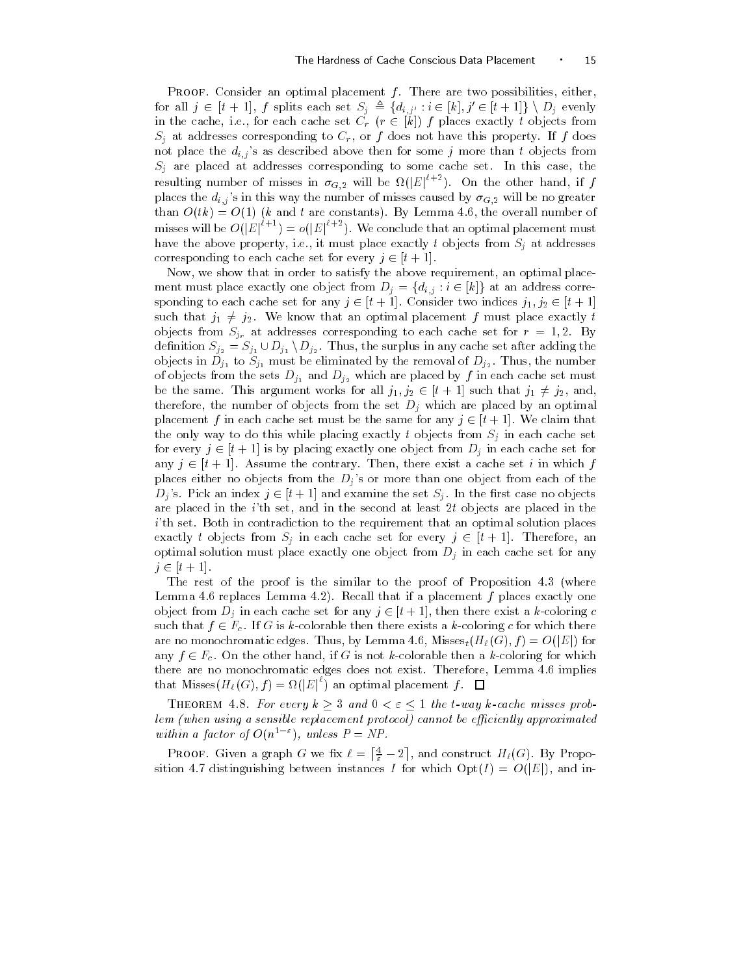Proof Consider an optimal placement f There are two possibilities- eitherfor all  $j \in [t+1]$ , f splits each set  $S_j \triangleq \{d_{i,j'} : i \in [k], j' \in [t+1]\} \setminus D_j$  evenly in the cache, i.e., for each cache set  $C_r$  ( $r \in |k|$ ) f places exactly t objects from sj at dresses corresponding to Cr - i does not have the property If it is not place the  $d_{i,j}$ 's as described above then for some j more than t objects from Sj are placed at addresses corresponding to some cache set In this case- the resulting number of misses in  $\sigma_{G,2}$  will be  $\Omega(|E|^{i+2})$ . On the other hand, if f places the dij s in this way the number of misses caused by G will be no greater than Otk O k and t are constants By Lemma - the overall number of misses will be  $O(|E|^{\ell+1}) = o(|E|^{\ell+2})$ . We conclude that an optimal placement must have property-to-the above property-to-the above property-to-the-session objects from Sj at addresses to-the-s corresponding to each cache set for every  $j \in [t+1]$ .

Now- we show that in order to satisfy the above requirement- an optimal place ment must place exactly one object from  $D_j = \{d_{i,j} : i \in [k]\}$  at an address corresponding to each cache set for any  $j \in [t+1]$ . Consider two indices  $j_1, j_2 \in [t+1]$ such that  $j_1 \neq j_2$ . We know that an optimal placement f must place exactly t objects from  $S_{j_r}$  at addresses corresponding to each cache set for  $r = 1, 2$ . By definition  $S_{j_2} = S_{j_1} \cup D_{j_1} \setminus D_{j_2}$ . Thus, the surplus in any cache set after adding the objects in  $\Pi$  to Sj must be eliminated by the removal of  $\Pi$   $\ge$ of objects from the sets  $D_{j_1}$  and  $D_{j_2}$  which are placed by  $f$  in each cache set must be the same. This argument works for all  $j_1, j_2 \in [t+1]$  such that  $j_1 \neq j_2$ , and, therefore- the number of objects from the set Dj which are placed by an optimal placement f in each cache set must be the same for any  $j \in [t+1]$ . We claim that the only way to do this while placing exactly t objects from Sj in each cache set for every  $j \in [t+1]$  is by placing exactly one object from  $D_j$  in each cache set for any  $j \in [t+1]$ . Assume the contrary Then, there exist a cache set i in which f places either no objects from the Dj s or more than one object from each of the  $D_j$ 's. Pick an index  $j \in [t+1]$  and examine the set  $S_j$ . In the first case no objects are placed in the ith set-term in the ith set-term in the second at least  $\mathbb{R}^n$  $i$ <sup>th</sup> set. Both in contradiction to the requirement that an optimal solution places exactly t objects from  $S_i$  in each cache set for every  $j \in [t+1]$ . Therefore, an optimal solution must place exactly one object from Dj in each cache set for any  $j \in [t+1]$ .

The rest of the proof is the similar to the proof of Proposition  $4.3$  (where Lemma 4.6 replaces Lemma 4.2). Recall that if a placement f places exactly one object from  $D_i$  in each cache set for any  $j \in [t+1]$ , then there exist a k-coloring c such that  $f \in F_c$ . If G is k-colorable then there exists a k-coloring c for which there are no monochromatic edges. Thus, by Lemma 4.6, Misses $_t(H_\ell(G), f) = O(|E|)$  for any  $f \in F_c$ . On the other hand, if G is not k-colorable then a k-coloring for which there are no monochromatic edges does not exist Therefore- Lemma implies that Misses $(H_{\ell}(G), f) = \Omega(|E|^{\epsilon})$  an optimal placement f. [

THEOREM 4.8. For every  $k\geq 3$  and  $0<\varepsilon\leq 1$  the t-way k-cache misses problem (when using a sensible replacement protocol) cannot be efficiently approximated with a factor of  $O(n^2)$ , unless  $P \equiv NF$ .

**PROOF.** Given a graph G we fix  $\ell = \lceil \frac{4}{\varepsilon} - 2 \rceil$ , and  $\mathbf{A} \cdot \mathbf{A} = \mathbf{A} \cdot \mathbf{A}$ sition 4.7 distinguishing between instances I for which  $\mathrm{Opt}(I) = O(|E|)$ , and in-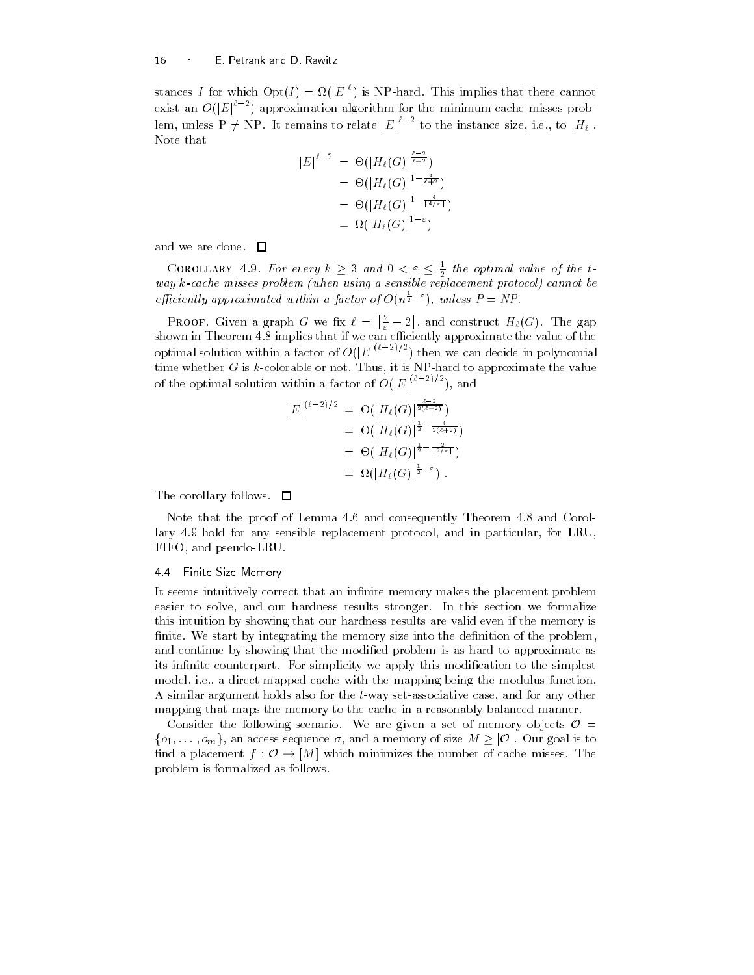stances I for which  $\mathrm{Opt}(I) = \Omega(|E|^{\nu})$  is NP-hard. This implies that there cannot exist an  $O(|E|^{t-2})$ -approximation algorithm for the minimum cache misses problem, unless P  $\neq$  NP. It remains to relate  $|E|^{t-2}$  to the instance size, i.e., to  $|H_{\ell}|$ . Note that

$$
|E|^{\ell-2} = \Theta(|H_{\ell}(G)|^{\frac{\ell-2}{\ell+2}})
$$
  
= 
$$
\Theta(|H_{\ell}(G)|^{1-\frac{4}{\ell+2}})
$$
  
= 
$$
\Theta(|H_{\ell}(G)|^{1-\frac{4}{\lceil 4/\epsilon \rceil}})
$$
  
= 
$$
\Omega(|H_{\ell}(G)|^{1-\epsilon})
$$

and we are done.  $\Box$ 

COROLLARY 4.9. For every  $k\geq 3$  and  $0<\varepsilon\leq\frac{1}{2}$  the optimal value of the tway  $k$ -cache misses problem (when using a sensible replacement protocol) cannot be efficiently approximated within a factor of  $O(n^{\frac{1}{2}-\varepsilon})$ , unless  $P = NP$ .

**PROOF.** Given a graph G we fix  $\ell = \lceil \frac{2}{\varepsilon} - 2 \rceil$ , are - $\mathbf{A} \cdot \mathbf{A} = \mathbf{A}$ shown in Theorem in Theorem in that if we can existently approximate the value of the value optimal solution within a factor of  $O(|E|^{(\epsilon-2)/2})$  then we can decide in polynomial time whether G is kcolorable or not Thus- it is NPhard to approximate the value of the optimal solution within a factor of  $O(|E|^{(\epsilon-2)/2})$ , and

$$
|E|^{(\ell-2)/2} = \Theta(|H_{\ell}(G)|^{\frac{\ell-2}{2(\ell+2)}})
$$
  
=  $\Theta(|H_{\ell}(G)|^{\frac{1}{2}-\frac{4}{2(\ell+2)}})$   
=  $\Theta(|H_{\ell}(G)|^{\frac{1}{2}-\frac{2}{12/\epsilon_1}})$   
=  $\Omega(|H_{\ell}(G)|^{\frac{1}{2}-\epsilon})$ .

The corollary follows.  $\square$ 

Note that the proof of Lemma 4.6 and consequently Theorem 4.8 and Corollary hold for any sensible replacement protocol- and in particular- for LRU-FIFO- and pseudoLRU

### 44 Finite Size Memory

It seems intuitively correct that an infinite memory makes the placement problem easier to solve- and our hardness results stronger In this section we formalize this intuition by showing that our hardness results are valid even if the memory is finite. We start by integrating the memory size into the definition of the problem, and continue by showing that the modied problem is as hard to approximate as its infinite counterpart. For simplicity we apply this modification to the simplest model-the international cacher with the model with the model with  $\pi$  and model the model of the model of the model of the model of the model of the model of the model of the model of the model of the model of the model o A similar argument holds also for the tway setassociative case- and for any other mapping that maps the memory to the cache in a reasonably balanced manner

Consider the following scenario. We are given a set of memory objects  $\mathcal{O} =$  $\{o_1,\ldots,o_m\}$ , an access sequence  $\sigma$ , and a memory of size  $M\geq |\mathcal{O}|$ . Our goal is to find a placement  $f: \mathcal{O} \to [M]$  which minimizes the number of cache misses. The problem is formalized as follows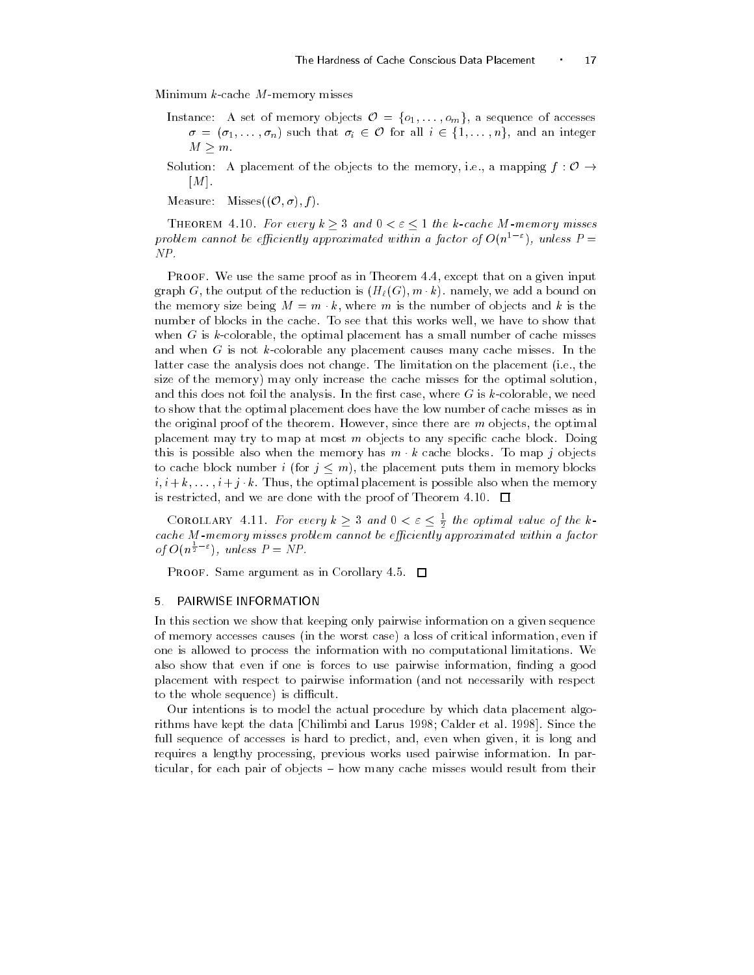Minimum  $k$ -cache  $M$ -memory misses

- Instance: A set of memory objects  $\mathcal{O} = \{o_1, \ldots, o_m\}$ , a sequence of accesses  $\sigma = (\sigma_1, \ldots, \sigma_n)$  such that  $\sigma_i \in \mathcal{O}$  for all  $i \in \{1, \ldots, n\}$ , and an integer  $M \geq m$ .
- Solution: A placement of the objects to the memory, i.e., a mapping  $f: \mathcal{O} \rightarrow$ and the state of the state of the state of the state of the state of the state of the state of the state of the
- Measure: Misses $((\mathcal{O}, \sigma), f)$ .

THEOREM 4.10. For every  $k \geq 3$  and  $0 < \varepsilon \leq 1$  the k-cache M-memory misses problem cannot be efficiently approximated within a factor of  $O(n^{1-\varepsilon})$  , unless  $P=$ 

Proof we use the same proof we in Theorem I is cheept that on a given impute graph  $G$ , the output of the reduction is  $\{H/\{G\}, m, \kappa\}$  hannely, we add a bound on the memory size being  $M = m \cdot \kappa$ , where m is the number of objects and  $\kappa$  is the number of blocks in the cache To see that this works well- we have to show that when G is k colorable- the spiritual placement is small number of the small increases  $\sim$ and when  $G$  is not k-colorable any placement causes many cache misses. In the latter case the analysis does not change The limitation on the placement ie- the size of the memory) may only increase the cache misses for the optimal solution. and this does not foil the analysis In the rst case- where G is kcolorable- we need to show that the optimal placement does have the low number of cache misses as in the original proof of the theorem However- since there are m objects- the optimal placement may try to map at most  $m$  objects to any specific cache block. Doing this is possible also when the memory has  $m \cdot k$  cache blocks. To map j objects to cache block number i (for  $j \leq m$ ), the placement puts them in memory blocks  $i, i + \kappa, \ldots, i + j \cdot \kappa$  . Thus, the optimal placement is possible also when the memory is restricted- and we are done with the proof of Theorem

COROLLARY 4.11. For every  $k \geq 3$  and  $0 < \varepsilon \leq \frac{1}{2}$  the optimal value of the k-\_\_ cache as annothery misses problem cannot be effectivity approximated within a factor. of  $O(n^{\frac{1}{2}-\epsilon})$ , unless  $P = NP$ .

**PROOF.** Same argument as in Corollary 4.5.  $\Box$ 

### PAIRWISE INFORMATION

In this section we show that keeping only pairwise information on a given sequence of memory accesses causes you have worst case, a loss of critical information- if clear in one is allowed to process the information with no computational limitations We also show that even if one is forces to use pairwise information- information-  $\mathcal{A}$  is  $\mathcal{A}$ placement with respect to pairwise information (and not necessarily with respect to the whole sequence) is difficult.

Our intentions is to model the actual procedure by which data placement algo rithms have kept the data Chilimbi and Larus Chilimbi and Larus Chilimbi and Larus Chilimbi and Larus Chilimbi full sequence of accesses is hard to predict- and- even when given- it is long and requires a lengthy processing- previous works used pairwise information In par ticular- for each pair of objects ! how many cache misses would result from their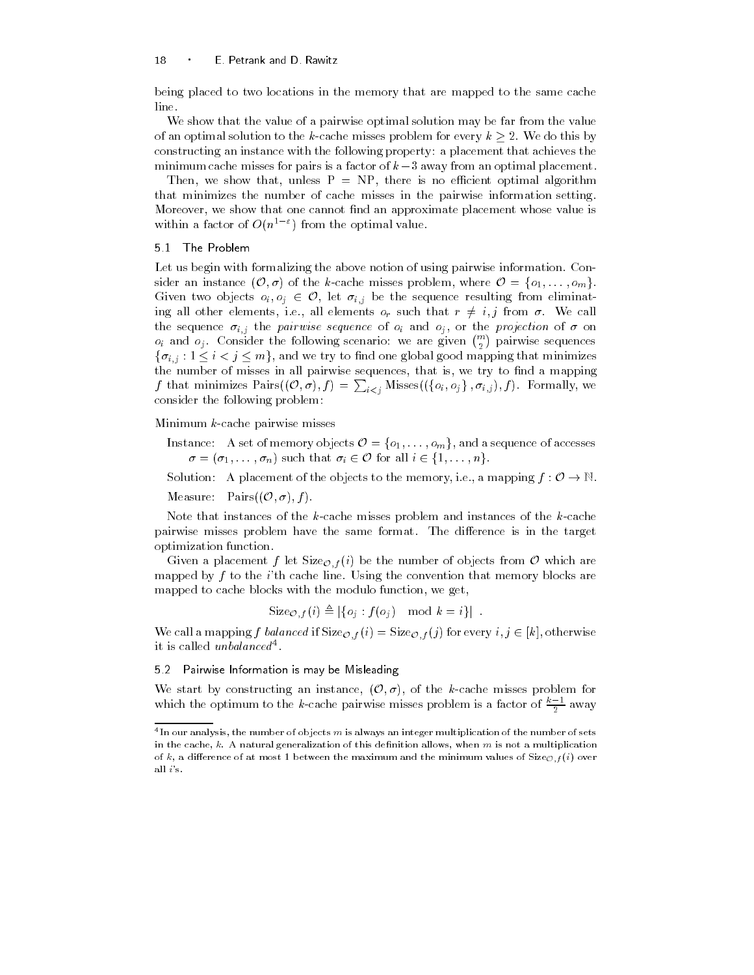being placed to two locations in the memory that are mapped to the same cache line

We show that the value of a pairwise optimal solution may be far from the value of an optimal solution to the k-cache misses problem for every  $k \geq 2$ . We do this by constructing an instance with the following property a placement that achieves the minimum cache misses for pairs is a factor of  $k-3$  away from an optimal placement.

then is the control there is no easily the is no economic optimized or algorithment. that minimizes the number of cache misses in the pairwise information setting . we show that one cannot we can also depend on the placement of placement whose value is an approximate in within a factor of  $O(n^2)$  from the optimal value.

## 5.1 The Problem

Let us begin with formalizing the above notion of using pairwise information Con sider an instance  $(\mathcal{O}, \sigma)$  of the k-cache misses problem, where  $\mathcal{O} = \{o_1, \ldots, o_m\}$ . Given two objects  $o_i, o_j \in \mathcal{O}$ , let  $\sigma_{i,j}$  be the sequence resulting from eliminating all other elements, i.e., all elements  $o_r$  such that  $r \neq i, j$  from  $\sigma$ . We call the sequence ijj the pairwise sequence of oj mind ojj en the projection of a six  $o_i$  and  $o_j$ . Consider the following scenario: we are given  $\binom{m}{2}$  pairwise sequences  $\{\sigma_{i,j} : 1 \leq i < j \leq m\}$ , and we try to find one global good mapping that minimizes the number of misses in all pairwise sequences- that is- we try to nd a mapping f that minimizes  $\text{Pairs}((\mathcal{O}, \sigma), f) = \sum_{i < j} \text{Misses}((\{o_i, o_j\}, \sigma_{i,j}), f)$ . Formally, we consider the following problem

Minimum  $k$ -cache pairwise misses

Instance: A set of memory objects  $\mathcal{O} = \{o_1, \ldots, o_m\}$ , and a sequence of accesses  $\sigma = (\sigma_1, \ldots, \sigma_n)$  such that  $\sigma_i \in \mathcal{O}$  for all  $i \in \{1, \ldots, n\}$ .

Solution: A placement of the objects to the memory, i.e., a mapping  $f: \mathcal{O} \to \mathbb{N}$ .

Measure: Pairs $((\mathcal{O}, \sigma), f)$ .

Note that instances of the  $k$ -cache misses problem and instances of the  $k$ -cache pairwise misses problem have the same format. The difference is in the target optimization function

Given a placement f let Size $\mathcal{O}_f(i)$  be the number of objects from  $\mathcal O$  which are mapped by  $f$  to the *i*'th cache line. Using the convention that memory blocks are mapped to cache blocks with the modulo function-

$$
Size_{\mathcal{O},f}(i) \triangleq |\{o_j : f(o_j) \mod k = i\}|.
$$

We call a mapping f balanced if  $Size_{\mathcal{O},f}(i) = Size_{\mathcal{O},f}(j)$  for every  $i, j \in [k]$ , otherwise it is called unbalanced<sup>4</sup>.

### - Pairwise Information is may be Misleading

We start by constructing an instance,  $(\mathcal{O}, \sigma)$ , of the k-cache misses problem for which the optimum to the  $k$ -cache pairwise misses problem is a factor of  $\frac{n-1}{2}$  away

In our analysis, the number of objects  $m$  is always an integer multiplication of the number of sets  $\sim$ in the cache, it is not generally allows when manufacture when  $\alpha$  is not as not a multiplication of of k, a difference of at most 1 between the maximum and the minimum values of Size<sub>Of</sub> (i) over all  $i$ 's.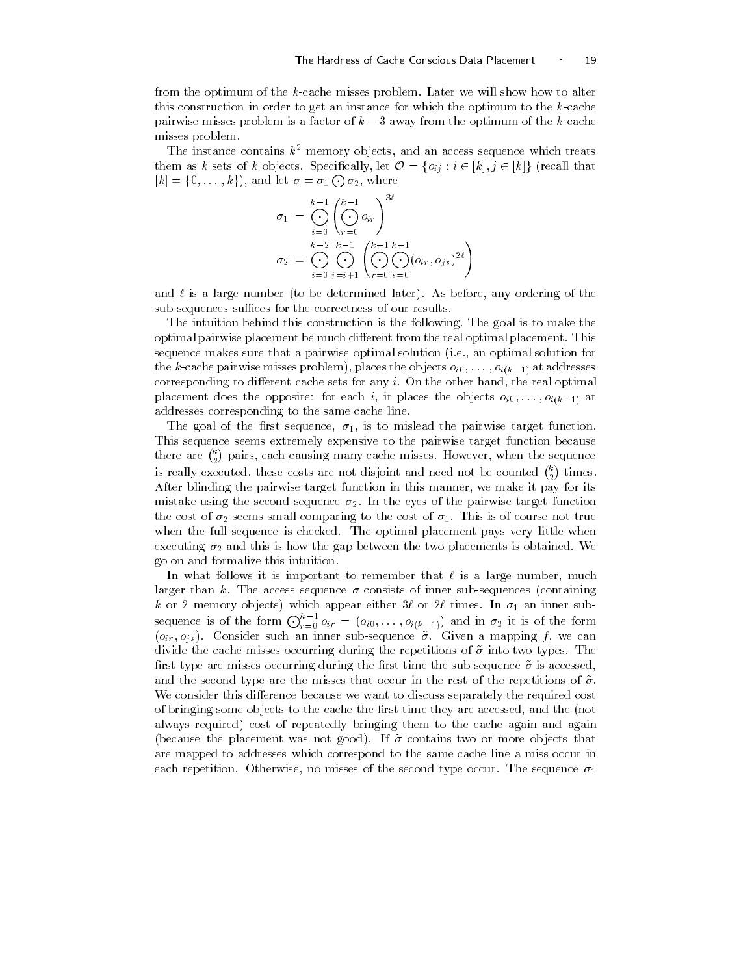from the optimum of the k-cache misses problem. Later we will show how to alter this construction in order to get an instance for which the optimum to the  $k$ -cache pairwise misses problem is a factor of  $k-3$  away from the optimum of the k-cache misses problem

The instance contains  $k^*$  memory objects, and an access sequence which treats them as k sets of k objects. Specifically, let  $\mathcal{O} = \{o_{ij} : i \in [k], j \in [k]\}\$  (recall that  $[k] = \{0, \ldots, k\}$ , and let  $\sigma = \sigma_1 \bigodot \sigma_2$ , where

$$
\sigma_1 = \bigodot_{i=0}^{k-1} \left( \bigodot_{r=0}^{k-1} o_{ir} \right)^{3\ell}
$$

$$
\sigma_2 = \bigodot_{i=0}^{k-2} \bigodot_{j=i+1}^{k-1} \left( \bigodot_{r=0}^{k-1} \bigodot_{s=0}^{k-1} (o_{ir}, o_{js})^{2\ell} \right)
$$

and is a large number to be determined later As before- any ordering of the sub-sequences suffices for the correctness of our results.

The intuition behind this construction is the following. The goal is to make the optimal pairwise placement be much different from the real optimal placement. This sequence makes sure that a pairwise optimal solution ie- an optimal solution for the cacher misses problem-bases problem-bases problem-bases problem-bases problemcorresponding to dierent care sets for any interest for any interest for any interest for any interest for any placement does the other than it places the objects of the objects of the objects of the objects of the object addresses corresponding to the same cache line

 $T$  and  $T$  is to mislead the pairwise target function  $T$ This sequence seems extremely expensive to the pairwise target function because there are  $\binom{k}{2}$  pairs, each causing many cache misses. However, when the sequence is really executed, these costs are not disjoint and need not be counted  $\binom{k}{2}$  times. After blinding the pairwise target function in this manner- we make it pay for its mistake using the second sequence  $\sigma_2$ . In the eyes of the pairwise target function the cost of  $\alpha$  small comparing to the cost of  $\alpha$  small control control control control control control control control control control control control control control control control control control control control co when the full sequence is checked. The optimal placement pays very little when executing and this is how the gap between the two placements is obtained We go on and formalize this intuition

In what follows it is important to remember that is a large number- much larger than k. The access sequence  $\sigma$  consists of inner sub-sequences (containing k or 
 memory objects which appear either or times In an inner sub sequence is of the form  $\bigodot_{r=0}^{k-1} o_{ir} = (o_{i0}, \ldots, o_{i(k-1)})$  and in  $\sigma_2$  it is of the form  $\{f_i\}$  ,  $\{f_i\}$  , and in inner such a mapping form a mapping f  $\{f_i\}$  ,  $\{f_i\}$  ,  $\{f_i\}$  ,  $\{f_i\}$  ,  $\{f_i\}$  ,  $\{f_i\}$  ,  $\{f_i\}$  ,  $\{f_i\}$  ,  $\{f_i\}$  ,  $\{f_i\}$  ,  $\{f_i\}$  ,  $\{f_i\}$  ,  $\{f_i\}$  ,  $\{f_i\}$  , divide the cache misses occurring during the repetitions of  $\tilde{\sigma}$  into two types. The first type are misses occurring during the first time the sub-sequence  $\tilde{\sigma}$  is accessed. and the second type are the misses that occur in the rest of the repetitions of  $\tilde{\sigma}$ . We consider this difference because we want to discuss separately the required cost of bringing some objects to the cache the rst time they are accessed- and the not always required) cost of repeatedly bringing them to the cache again and again (because the placement was not good). If  $\tilde{\sigma}$  contains two or more objects that are mapped to addresses which correspond to the same cache line a miss occur in each repetition Otherwise- no misses of the second type occur The sequence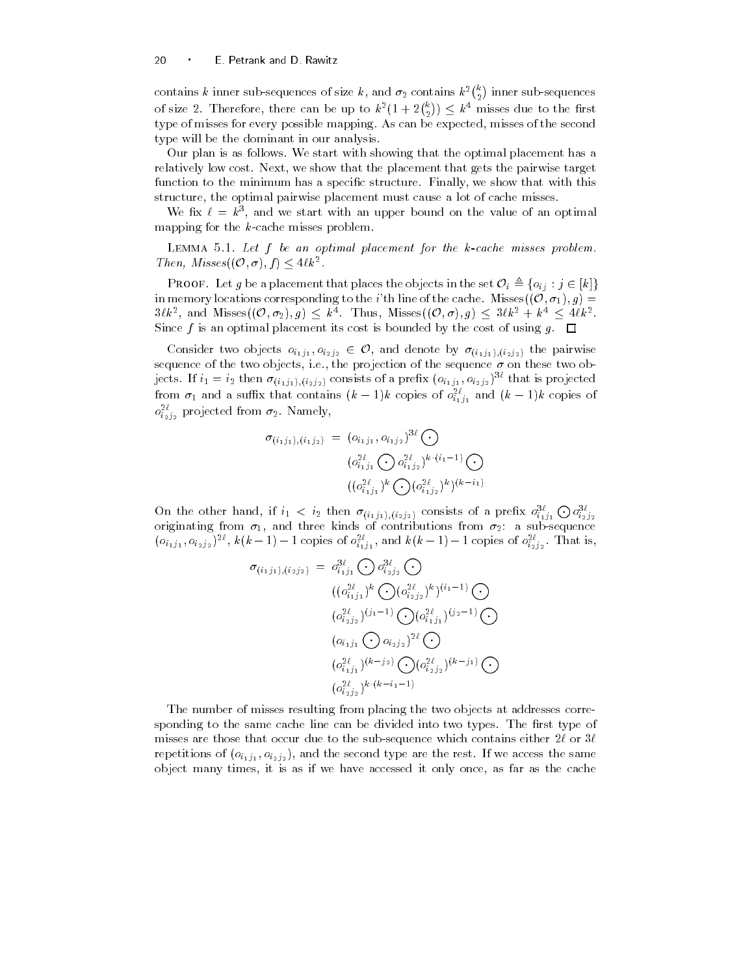contains  $k$  inner sub-sequences of size  $k$ , and  $\sigma_2$  contains  $k^2\binom{k}{2}$  inner sub-sequences of size 2. Therefore, there can be up to  $k^2(1+2\binom{k}{2}) \leq k^4$  misses due to the first type of misses for every possible mapping As can be expected- misses of the second type will be the dominant in our analysis

Our plan is as follows We start with showing that the optimal placement has a relatively low cost Next- we show that the placement that gets the pairwise target function to the minimum has a specic structure Finally- we show that with this structure- the optimal pairwise placement must cause a lot of cache misses

We fix  $\ell = k^{\circ}$ , and we start with an upper bound on the value of an optimal mapping for the  $k$ -cache misses problem.

Lemma 5.1. Let  $j$  be an optimum placement for the k cache misses problem. Then, Misses $((\mathcal{O}, \sigma), f) \leq 4\ell k^2$ .

**PROOF.** Let g be a placement that places the objects in the set  $\mathcal{O}_i \triangleq \{o_{ij} : j \in [k]\}$ in memory locations corresponding to the *i*'th line of the cache. Misses  $((0, \sigma_1), g)$  =  $3\ell k^2$ , and Misses $((\mathcal{O}, \sigma_2), g) \leq k^4$ . Thus, Misses $((\mathcal{O}, \sigma), g) \leq 3\ell k^2 + k^4 \leq 4\ell k^2$ . Since f is an optimal placement its cost is bounded by the cost of using  $g$ .  $\Box$ 

Consider two objects  $o_{i_1j_1}, o_{i_2j_2} \in \mathcal{O}$ , and denote by  $\sigma_{(i_1j_1),(i_2j_2)}$  the pairwise sequence of the two objects, two projection of the sequence is the these two objects of the sequence  $\sim$ jects. If  $i_1 = i_2$  then  $\sigma_{(i_1j_1),(i_2j_2)}$  consists of a prefix  $(o_{i_1j_1},o_{i_2j_2})$  that is projected from  $\sigma_1$  and a suffix that contains  $(k-1)k$  copies of  $\sigma^z_{i_1j_1}$  and  $(k-1)k$  copies of  $o_{i_2j_2}^-$  projected from  $\sigma_2$  . Namely,

$$
\sigma_{(i_1j_1),(i_1j_2)} = (o_{i_1j_1}, o_{i_1j_2})^{3\ell} \bigodot
$$

$$
(o_{i_1j_1}^{2\ell} \bigodot o_{i_1j_2}^{2\ell})^{k \cdot (i_1-1)} \bigodot
$$

$$
((o_{i_1j_1}^{2\ell})^k \bigodot (o_{i_1j_2}^{2\ell})^k)^{(k-i_1)}
$$

On the other hand, if  $i_1 < i_2$  then  $\sigma_{(i_1j_1),(i_2j_2)}$  consists of a prefix  $o_{i_1j_1}^{3\ell} \bigodot o_{i_2j_2}^{3\ell}$ originating from - and three kinds of contributions from a subsequence  $(o_{i_1j_1}, o_{i_2j_2})^{-\infty}$ ,  $k(k-1)-1$  copies of  $o_{i_1j_1}^{\infty}$ , and  $k(k-1)-1$  copies of  $o_{i_2j_2}^{\infty}$ . That is,

$$
\sigma_{(i_1j_1),(i_2j_2)} = o_{i_1j_1}^{3\ell} \bigodot o_{i_2j_2}^{3\ell} \bigodot
$$
  
\n
$$
((o_{i_1j_1}^{2\ell})^k \bigodot (o_{i_2j_2}^{2\ell})^k)^{(i_1-1)} \bigodot
$$
  
\n
$$
(o_{i_2j_2}^{2\ell})^{(j_1-1)} \bigodot (o_{i_1j_1}^{2\ell})^{(j_2-1)} \bigodot
$$
  
\n
$$
(o_{i_1j_1} \bigodot o_{i_2j_2})^{2\ell} \bigodot
$$
  
\n
$$
(o_{i_1j_1}^{2\ell})^{(k-j_2)} \bigodot (o_{i_2j_2}^{2\ell})^{(k-j_1)} \bigodot
$$
  
\n
$$
(o_{i_2j_2}^{2\ell})^{k \cdot (k-i_1-1)}
$$

The number of misses resulting from placing the two objects at addresses corre sponding to the same cache line can be divided into two types. The first type of misses are those that occur due to the sub-sequence which contains either  $2\ell$  or  $3\ell$ repetitions of oij oij - and the second type are the rest If we access the same object many times- it is as if we have accessed it is as if we have accessed it on large accessed it on a the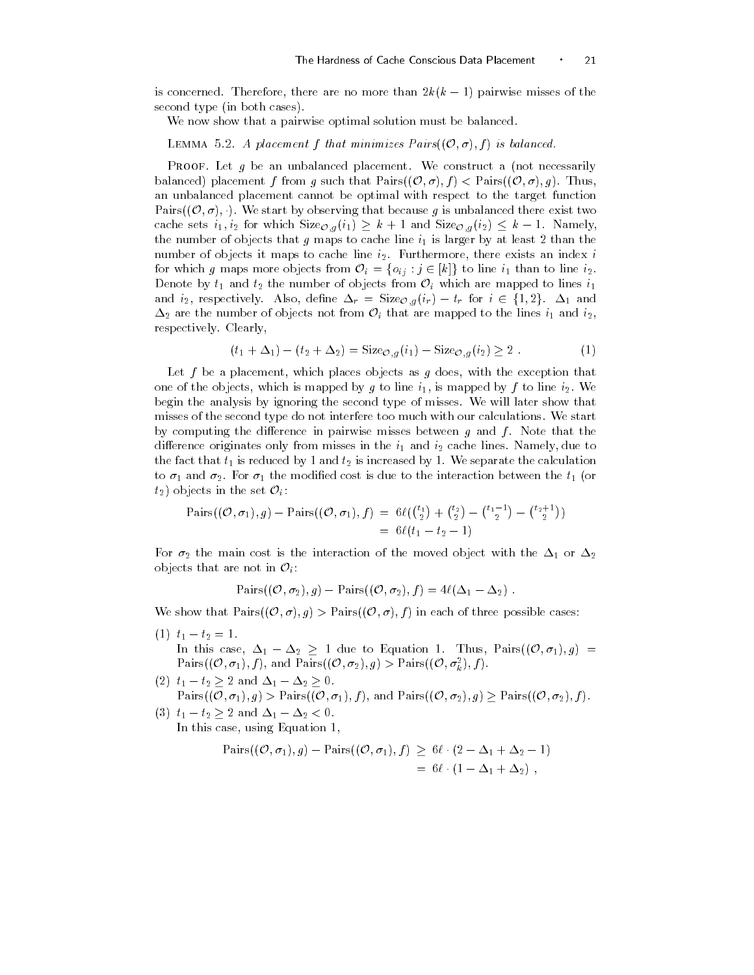is concerned. Therefore, there are no more than  $\omega_{h,h} = 1$  pairwise misses of the  $$ second type (in both cases).

We now show that a pairwise optimal solution must be balanced.

LEMMA 5.2. A placement f that minimizes  $Pairs((\mathcal{O}, \sigma), f)$  is balanced.

**PROOF.** Let g be an unbalanced placement. We construct a (not necessarily balanced) placement f from g such that  $Pairs((\mathcal{O}, \sigma), f) < Pairs((\mathcal{O}, \sigma), g)$ . Thus, an unbalanced placement cannot be optimal with respect to the target function Pairs $((\mathcal{O}, \sigma), \cdot)$ . We start by observing that because g is unbalanced there exist two cache sets  $i_1, i_2$  for which  $Size_{\mathcal{O}_q}(i_1) \geq k+1$  and  $Size_{\mathcal{O}_q}(i_2) \leq k-1$ . Namely, the number of objects that g maps to cache line i is larger by at least 
 than the number of objects it maps to cache line i Furthermore- there exists an index i for which g maps more objects from  $\mathcal{O}_i = \{o_{ij} : j \in [k]\}$  to line  $i_1$  than to line  $i_2$ . Denote by  $t_1$  and  $t_2$  the number of objects from  $\mathcal{O}_i$  which are mapped to lines  $i_1$ and  $i_2$ , respectively. Also, define  $\Delta_r = \text{Size}_{\mathcal{O},q}(i_r) - t_r$  for  $i \in \{1,2\}$ .  $\Delta_1$  and  $\Delta_2$  are the number of objects not from  $\mathcal{O}_i$  that are mapped to the lines  $i_1$  and  $i_2$ , respectively. Clearly,

$$
(t_1 + \Delta_1) - (t_2 + \Delta_2) = \text{Size}_{\mathcal{O},g}(i_1) - \text{Size}_{\mathcal{O},g}(i_2) \ge 2.
$$
 (1)

which with the places of the exception as given as g doesn't with the exception that the exception that the exception of the exception of the exception of the exception of the exception of the exception of the exception of one of the objects, which is mapped by a to line i, the mapped by a to line is  $\mathcal{N}$ begin the analysis by ignoring the second type of misses We will later show that misses of the second type do not interfere too much with our calculations We start by computing the difference in pairwise misses between  $g$  and  $f$ . Note that the dierence originates only from misses in the i and i cache lines Namely- due to the fact that the fact that the fact that the calculation by  $\mu$  is increased by  $W$  separate the calculation of  $\mu$ to and  $\mu$  and the modified cost is due to the interaction between the the total between the t or the t or the t or  $t_2$ ) objects in the set  $\mathcal{O}_i$ :

$$
\begin{array}{l}\text{Pairs}((\mathcal{O}, \sigma_1), g) - \text{Pairs}((\mathcal{O}, \sigma_1), f) = 6\ell(\binom{t_1}{2} + \binom{t_2}{2} - \binom{t_1 - 1}{2} - \binom{t_2 + 1}{2})\\ &= 6\ell(t_1 - t_2 - 1)\end{array}
$$

For  $\epsilon$   $_{\Delta}$  the main cost is the movement of the moved object with the  $\epsilon$  or  $\epsilon$ objects that are not in  $\mathcal{O}_i$ :

$$
\text{Pairs}((\mathcal{O}, \sigma_2), g) - \text{Pairs}((\mathcal{O}, \sigma_2), f) = 4\ell(\Delta_1 - \Delta_2).
$$

We show that  $\text{Pairs}((\mathcal{O}, \sigma), g) > \text{Pairs}((\mathcal{O}, \sigma), f)$  in each of three possible cases:

- $t + t_1 t_2 t_3$ In this case,  $\Delta_1 - \Delta_2 \geq 1$  due to Equation 1. Thus,  $Pairs((\mathcal{O}, \sigma_1), g)$  =
	- Pairs $((\mathcal{O}, \sigma_1), f)$ , and Pairs $((\mathcal{O}, \sigma_2), g) >$ Pairs $((\mathcal{O}, \sigma_k^2), f)$ .

(2)  $t_1-t_2\geq 2$  and  $\Delta_1-\Delta_2\geq 0$ .  $Pairs((\mathcal{O}, \sigma_1), g) > Pairs((\mathcal{O}, \sigma_1), f)$ , and  $Pairs((\mathcal{O}, \sigma_2), g) \geq Pairs((\mathcal{O}, \sigma_2), f)$ .

(3)  $t_1 - t_2 \geq 2$  and  $\Delta_1 - \Delta_2 < 0$ . in this case of motor  $\pi$  and denote by the case of the case of the case of the case of the case of the case of the case of the case of the case of the case of the case of the case of the case of the case of the case of t

$$
Pairs((\mathcal{O}, \sigma_1), g) - Pairs((\mathcal{O}, \sigma_1), f) \ge 6\ell \cdot (2 - \Delta_1 + \Delta_2 - 1)
$$
  
= 6\ell \cdot (1 - \Delta\_1 + \Delta\_2),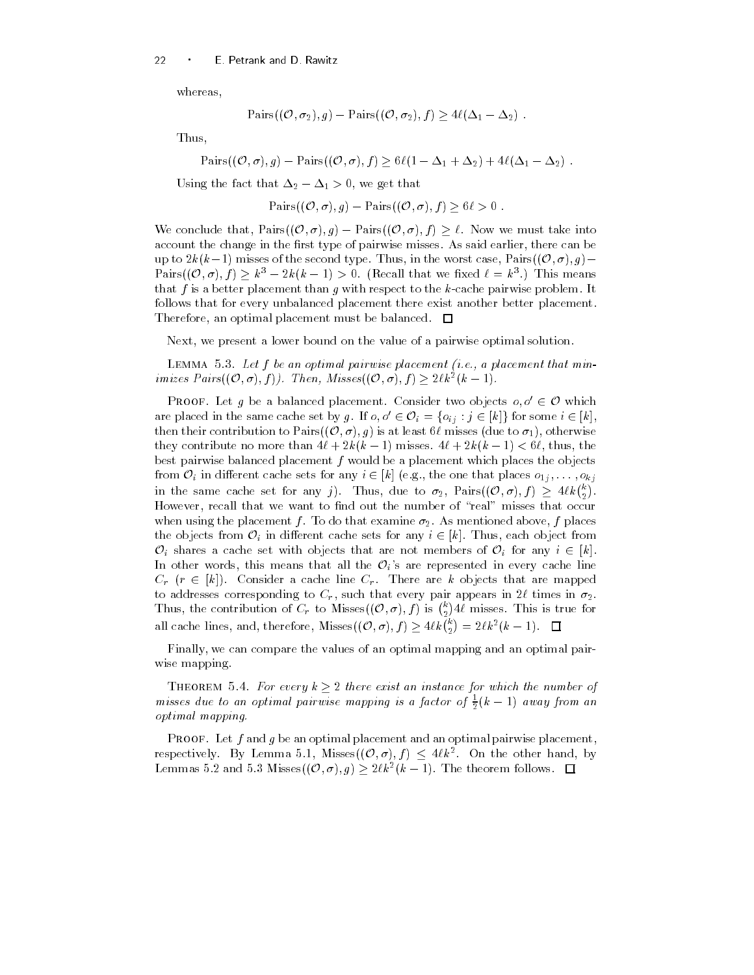whereas,

$$
\mathrm{Pairs}((\mathcal{O}, \sigma_2), g) - \mathrm{Pairs}((\mathcal{O}, \sigma_2), f) \ge 4\ell(\Delta_1 - \Delta_2).
$$

Thus-

 $\text{Pairs}((\mathcal{O}, \sigma), g) - \text{Pairs}((\mathcal{O}, \sigma), f) \geq 6\ell(1 - \Delta_1 + \Delta_2) + 4\ell(\Delta_1 - \Delta_2)$ .

Using the fact that  $\Delta_2 = \Delta_1 > 0$ , we get that

$$
\mathrm{Pairs}((\mathcal{O}, \sigma), g) - \mathrm{Pairs}((\mathcal{O}, \sigma), f) \geq 6\ell > 0.
$$

We conclude that,  $\text{Pairs}((\mathcal{O}, \sigma), g) - \text{Pairs}((\mathcal{O}, \sigma), f) \geq \ell$ . Now we must take into account the change in the rst type of pairwise misses As said earlier- there can be up to  $2k(k-1)$  misses of the second type. Thus, in the worst case,  $Pairs((\mathcal{O}, \sigma), q)$  -Pairs $((\mathcal{O}, \sigma), f) \geq k^3 - 2k(k-1) > 0$ . (Recall that we fixed  $\ell = k^3$ .) This means that f is a better placement than g with respect to the  $k$ -cache pairwise problem. It follows that for every unbalanced placement there exist another better placement — an optimal placement placement and must be balanced and

Next-Present a lower bound on the value of a pairwise of a pairwise of a pairwise of a pairwise of a pairwise o

LEMMA 5.3. Let f be an optimal pairwise placement (i.e., a placement that minimizes  $Pairs((\mathcal{O}, \sigma), f))$ . Then,  $Misses((\mathcal{O}, \sigma), f) \geq 2\ell k^2(k-1)$ .

**PROOF.** Let q be a balanced placement. Consider two objects  $o, o' \in \mathcal{O}$  which are placed in the same cache set by g. If  $o, o' \in \mathcal{O}_i = \{o_{ij} : j \in [k]\}$  for some  $i \in [k]$ , then their contribution to Pairs $((\mathcal{O}, \sigma), g)$  is at least  $6\ell$  misses (due to  $\sigma_1$ ), otherwise they contribute no more than  $\pm \iota + 2\kappa$  ( $\kappa = 1$ ) misses.  $\pm \iota + 2\kappa$  ( $\kappa = 1$ )  $\leq$  0 $\iota$ , thus, the best pairwise balanced placement  $f$  would be a placement which places the objects from  $\mathcal{O}_i$  in different cache sets for any  $i \in [k]$  (e.g., the one that places  $o_{1i}, \ldots, o_{ki}$ in the same cache set for any j). Thus, due to  $\sigma_2$ ,  $\text{Pairs}((\mathcal{O}, \sigma), f) \geq 4\ell k \binom{k}{2}$ . However- recall that we want to nd out the number of #real\$ misses that occur when when  $\eta$  the placement for the contribution of  $\lambda$  , the mentioned above-that  $\eta$  , places  $\eta$ the objects from  $\mathcal{O}_i$  in different cache sets for any  $i \in [k]$ . Thus, each object from  $\mathcal{O}_i$  shares a cache set with objects that are not members of  $\mathcal{O}_i$  for any  $i \in [k]$ . In other words, this means that all the  $\mathcal{O}_i$ 's are represented in every cache line  $C_r$  ( $r \in [k]$ ). Consider a cache line  $C_r$ . There are k objects that are mapped to a film that every pair in the corresponding to  $\mu$ Thus, the contribution of  $C_r$  to Misses $((\mathcal{O}, \sigma), f)$  is  $\binom{k}{2}4\ell$  misses. This is true for all cache lines, and, therefore, Misses $((\mathcal{O}, \sigma), f) \geq 4\ell k {k \choose 2} = 2\ell k^2 (k-1)$ .

Finally- we can compare the values of an optimal mapping and an optimal pair wise mapping

THEOREM 5.4. For every  $k \geq 2$  there exist an instance for which the number of misses due to an optimal pairwise mapping is a factor of  $\frac{1}{2}(k-1)$  away from an optimal mapping

**PROOF.** Let f and g be an optimal placement and an optimal pairwise placement, respectively. By Lemma 5.1, Misses $((\mathcal{O}, \sigma), f) \leq 4\ell k^2$ . On the other hand, by Lemmas 5.2 and 5.3 Misses $((\mathcal{O}, \sigma), g) \geq 2\ell k^2(k-1)$ . The theorem follows.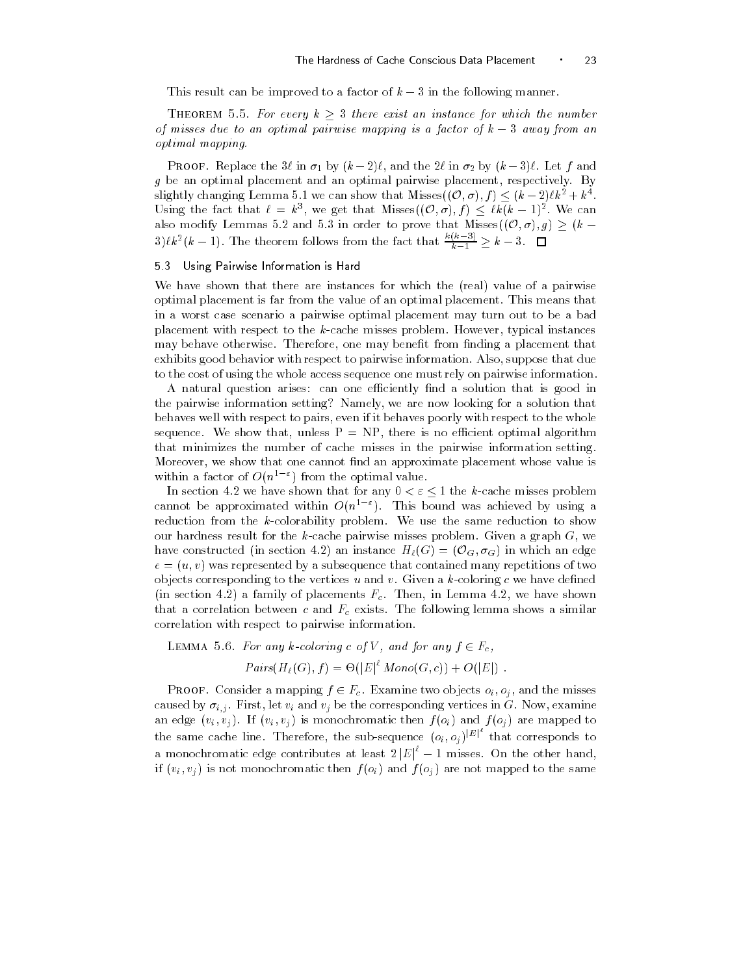This result can be improved to a factor of  $k-3$  in the following manner.

THEOREM 5.5. For every  $k\geq 3$  there exist an instance for which the number of misses due to an optimal pairwise mapping is a factor of  $k-3$  away from an optimal mapping

I ROOF. Replace the  $\partial v$  in  $v_1$  by  $(\kappa - 2)v$ , and the  $2v$  in  $v_2$  by  $(\kappa - \partial)v$ . Let f and g be an optimize placement and an optimized pairwise placement-placement-temperaturely Byslightly changing Lemma 5.1 we can show that Misses $((0, \sigma), f) \leq (k-2)\ell k^2 + k^4$ . Using the fact that  $\ell = k^3$ , we get that Misses $((\mathcal{O}, \sigma), f) \leq \ell k(k-1)^2$ . We can also modify Lemmas 5.2 and 5.3 in order to prove that Misses $((\mathcal{O}, \sigma), g) \geq (k - 1)$  $k^2(k-1)$ . The theorem follows from the fact that  $\frac{k(k-3)}{k-1} \geq k-3$ .  $\Box$ 

### Using Pairwise Information is Hard

We have shown that there are instances for which the (real) value of a pairwise optimal placement is far from the value of an optimal placement This means that in a worst case scenario a pairwise optimal placement may turn out to be a bad placement with respect to the kcache misses problem However- typical instances may behave otherwise Therefore- one may benet from nding a placement that exhibits good behavior with respect to pairwise information Also- suppose that due to the cost of using the whole access sequence one must rely on pairwise information

A natural question arises: can one efficiently find a solution that is good in the pairwise information setting Namely- we are now looking for a solution that behaves well with respect to pairs-in it behaves poorly with respect to the whole poorly with respect to the whole sequence We show that-there is no economic problem is no economic problem in the state of the state of the state of the state of the state of the state of the state of the state of the state of the state of the state of th that minimizes the number of cache misses in the pairwise information setting Moreover- we show that one cannot nd an approximate placement whose value is within a factor of  $O(n^2 - 1)$  from the optimal value.

In section 4.2 we have shown that for any  $0 < \varepsilon < 1$  the k-cache misses problem cannot be approximated within  $O(n^2 \epsilon)$ . This bound was achieved by using a reduction from the  $k$ -colorability problem. We use the same reduction to show our hardness result for the kcache pairwise misses problem Given a graph G- we have constructed (in section 4.2) an instance  $H_{\ell}(G) = (\mathcal{O}_G, \sigma_G)$  in which an edge  $e = (u, v)$  was represented by a subsequence that contained many repetitions of two objects corresponding to the vertices u and v. Given a  $k$ -coloring c we have defined in section and the placements  $\mathbf{u}$  in Lemma and the number of placements  $\mathbf{u}$ that a correlation between c and  $\mathbf{F}_{\mathbf{c}}$  exists The following lemma shows a similar lemma shows a similar lemma shows a similar lemma shows a similar lemma shows a similar lemma shows a similar lemma shows a simila correlation with respect to pairwise information

LEMMA 5.6. For any k-coloring c of V, and for any  $f \in F_c$ ,

$$
Pairs(H_{\ell}(G), f) = \Theta(|E|^{\ell} \; Mono(G, c)) + O(|E|) \; .
$$

**PROOF.** Consider a mapping  $f \in F_c$ . Examine two objects  $o_i, o_j$ , and the misses caused by introduced by internal processes in the theoretical corresponding vertices in G November 2014, a commentant an edge vivi if vi en vivi if an eerste then for the f oi f one f oil and fearing to an the same cache line. Therefore, the sub-sequence  $(o_i, o_j)^{|E|}$  that corresponds to a monochromatic edge contributes at least  $2|E|^{\epsilon}-1$  misses. On the other hand, if via via via via via the same formulation  $\mathcal{N}$  and for mapped to the same of order to the same of order to the same of order to the same of order to the same of  $\mathcal{N}$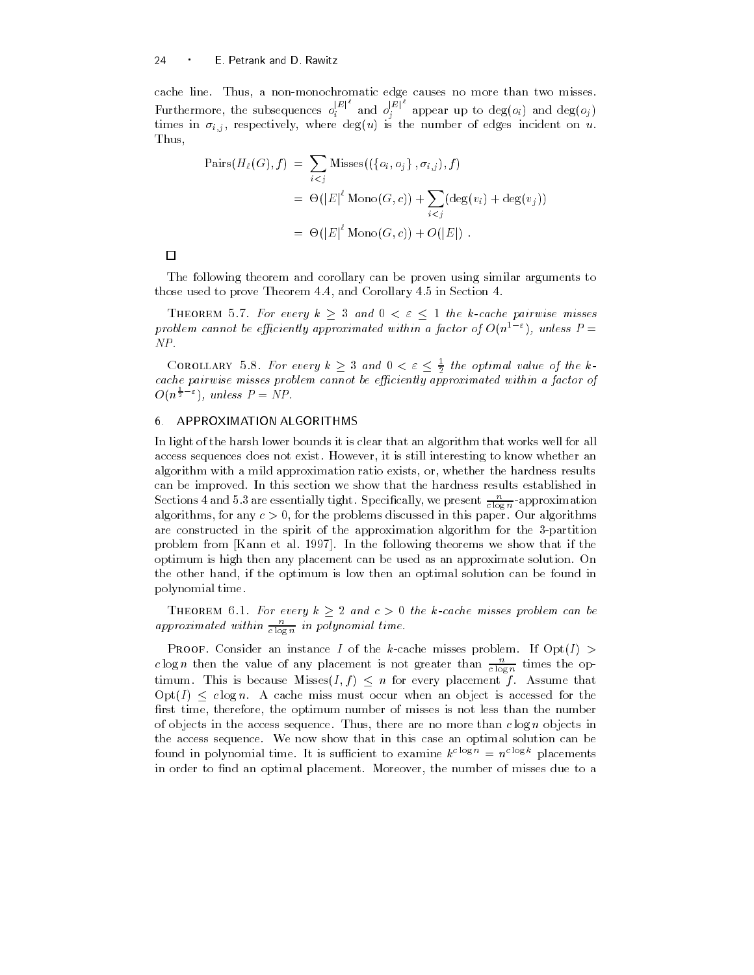cache line Thus- a nonmonochromatic edge causes no more than two misses Furthermore, the subsequences  $o_i^{[E]}$  a  $\begin{bmatrix} E & \n\end{bmatrix}$  and  $o_i^{|E|}$  a  $j$  appears to degoing the degoing  $j$ times in ij en protectively, where algung in the number of an ungent incident on up. Thus-

$$
\begin{aligned} \text{Pairs}(H_{\ell}(G), f) &= \sum_{i < j} \text{Misses}((\{o_i, o_j\}, \sigma_{i,j}), f) \\ &= \Theta(|E|^{\ell} \text{ Mono}(G, c)) + \sum_{i < j} (\text{deg}(v_i) + \text{deg}(v_j)) \\ &= \Theta(|E|^{\ell} \text{ Mono}(G, c)) + O(|E|) \end{aligned}
$$

 $\Box$ 

The following theorem and corollary can be proven using similar arguments to those used to prove Theorem - and Corollary in Section 1, we are the corollary in Section 1, we are the corollary in Section 1, we are the corollary in Section 1, we are the corollary in Section 1, we are the corollary i

THEOREM 5.7. For every  $k \geq 3$  and  $0 < \varepsilon \leq 1$  the k-cache pairwise misses problem cannot be efficiently approximated within a factor of  $O(n^{1-\varepsilon})$ , unless  $P=$ NP

COROLLARY 5.8. For every  $k\geq 3$  and  $0<\varepsilon\leq \frac{1}{2}$  the optimal value of the kcache pairwise misses problem cannot be eciently approximated within a factor of  $O(n^{\frac{1}{2}-\varepsilon})$ , unless  $P=NP$ .

### APPROXIMATION ALGORITHMS

In light of the harsh lower bounds it is clear that an algorithm that works well for all access sequences access not exist the still interesting to know whether an analysis algorithm with a military proximation ratio exists-part whether the hardness resultscan be improved. In this section we show that the hardness results established in Sections 4 and 5.3 are essentially tight. Specifically, we present  $\frac{c}{c \log n}$ -approximation algorithms- for any c  $\epsilon$  , with the problems discussed in this paper our algorithms. are constructed in the spirit of the approximation algorithm for the 3-partition problem from from the following the following theorems we show the theorems we show optimum is high then any placement can be used as an approximate solution On the other hand- if the optimum is low then an optimal solution can be found in polynomial time

THEOREM 6.1. For every  $k \geq 2$  and  $c > 0$  the k-cache misses problem can be approximated within  $\frac{n}{c \log n}$  in polynomial time.

c log n then the value of any placement is not greater than  $\frac{n}{c \log n}$  times the optimum. This is because Misses $(I, f) \leq n$  for every placement f. Assume that  $Opt(I) \leq c \log n$ . A cache miss must occur when an object is accessed for the rst time- therefore- the optimum number of misses is not less than the number of objects in the access sequence Thus- there are no more than c log n objects in the access sequence We now show that in this case an optimal solution can be found in polynomial time. It is sufficient to examine  $k^{c \log n} = n^{c \log k}$  placements in order to nd an optimal placement Moreover- the number of misses due to a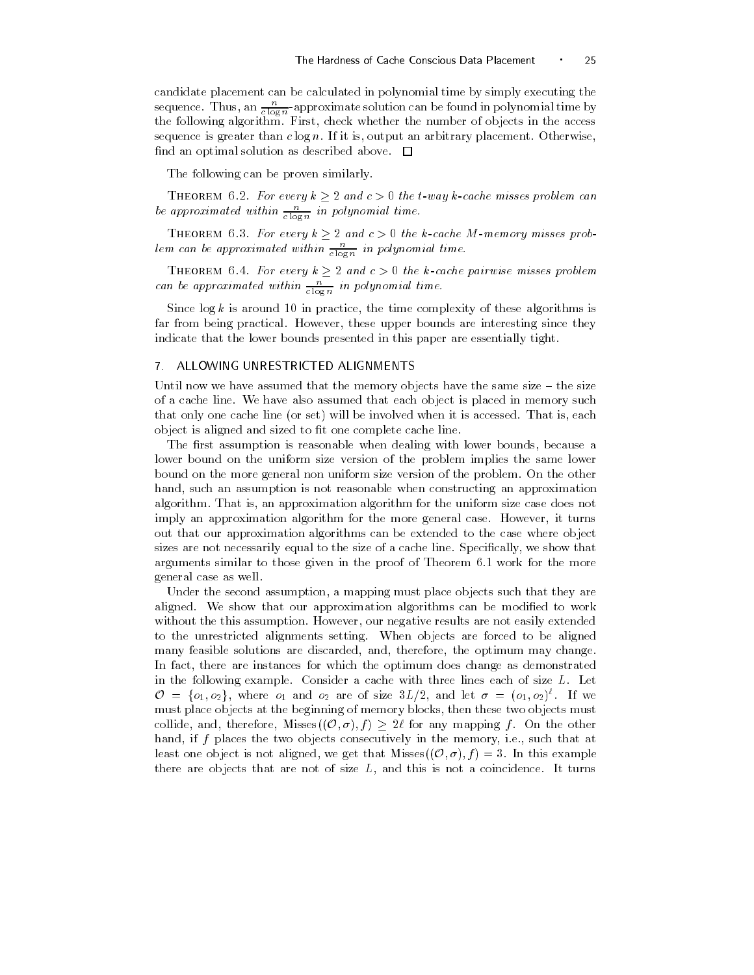candidate placement can be calculated in polynomial time by simply executing the sequence. Thus, an  $\frac{n}{c \log n}$ -approximate solution can be found in polynomial time by the following algorithment first-the number of objects in the access in the access sequence is greater than couplet in it is an arbitrary method in the placement of the collect find an optimal solution as described above.  $\Box$ 

The following can be proven similarly.

THEOREM 6.2. For every  $k \geq 2$  and  $c > 0$  the t-way k-cache misses problem can<br>be approximated within  $\frac{n}{c \log n}$  in polynomial time.

THEOREM 6.3. For every  $k \geq 2$  and  $c > 0$  the k-cache M-memory misses problem can be approximated within  $\frac{n}{c \log n}$  in polynomial time.

THEOREM 6.4. For every  $k \geq 2$  and  $c > 0$  the k-cache pairwise misses problem<br>can be approximated within  $\frac{n}{c \log n}$  in polynomial time.

since logs is arrowing to in practice, the third complexity of these algorithms is far from being practical However- these upper bounds are interesting since they indicate that the lower bounds presented in this paper are essentially tight

### ALLOWING UNRESTRICTED ALIGNMENTS

Until now we have assumed that the memory objects have the same size - the size of a cache line We have also assumed that each object is placed in memory such that only only the inter-portable will be involved when it is accessed to the involved will be inobject is aligned and sized to fit one complete cache line.

The rst assumption is reasonable when dealing with lower bounds- because a lower bound on the uniform size version of the problem implies the same lower bound on the more general non uniform size version of the problem On the other hand- such an assumption is not reasonable when constructing an approximation algorithm That is- an approximation algorithm for the uniform size case does not imply an approximation algorithm for the more general case However- it turns out that our approximation algorithms can be extended to the case where object sizes are not necessarily equal to the size of a cache line Specically- we show that arguments similar to those given in the proof of Theorem 6.1 work for the more general case as well

Under the second assumption- a mapping must place objects such that they are aligned. We show that our approximation algorithms can be modified to work without the this assumption However-The this assumption However-Theoretical extended are not easily extended a to the unrestricted alignments setting. When objects are forced to be aligned many feasible solutions are discarded- and- therefore- the optimum may change In fact- there are instances for which the optimum does change as demonstrated in the following example. Consider a cache with three lines each of size  $L$ . Let  $\mathcal{O} = \{o_1, o_2\}$ , where  $o_1$  and  $o_2$  are of size  $3L/2$ , and let  $\sigma = (o_1, o_2)^{\ell}$ . If we must place objects at the beginning of memory blocks- then these two objects must collide, and, therefore, Misses $((\mathcal{O}, \sigma), f) \geq 2\ell$  for any mapping f. On the other hand-two objects consecutively in the memory-two objects consecutively in the memory-two objects consecutively least one object is not aligned, we get that Misses $((\mathcal{O}, \sigma), f) = 3$ . In this example there are objects that are not of size L- and this is not a coincidence It turns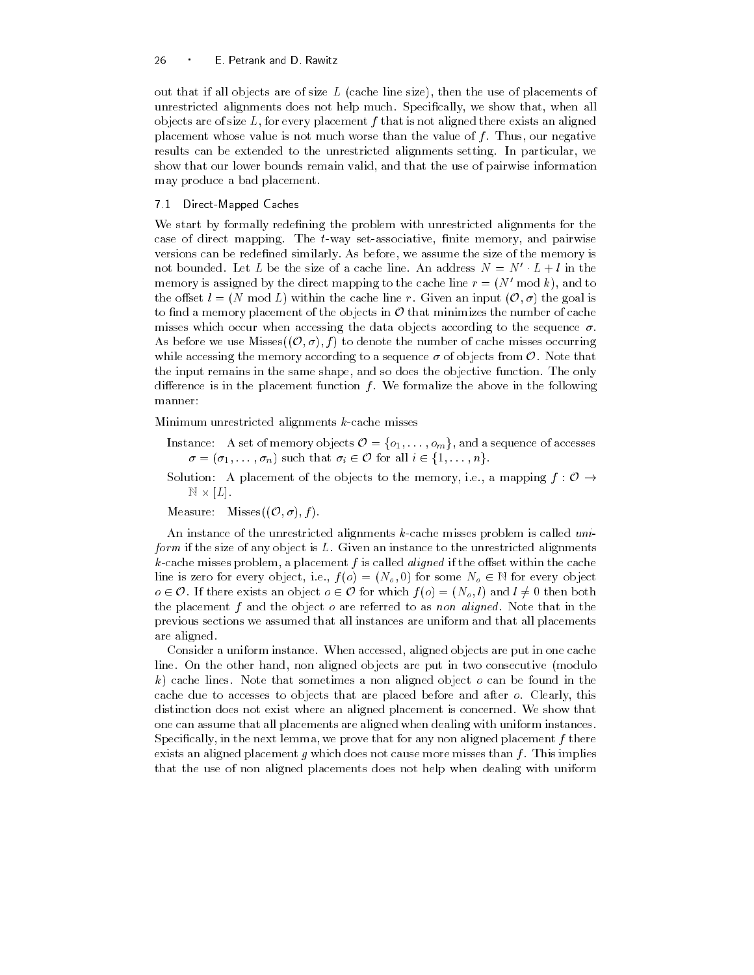out that if all objects are of size L cache line size- then the use of placements of unrestricted alignments does not help much Specially-stricted alignments does not help much Specially-stricted objects are of size L-strategie placement f that is not aligned that is not all  $\alpha$ placement whose value is not much worse than the value of f Thus- our negative results can be extended to the unrestricted alignments setting In particular- we show that our lower bounds remains valid-y and that the use of pairwise information. may produce a bad placement

### 7.1 Direct-Mapped Caches

We start by formally redefining the problem with unrestricted alignments for the case of direct mapping The tway setassociative- nite memory- and pairwise versions can be redened similarly As before- we assume the size of the memory is not bounded. Let  $L$  be the size of a cache line. An address  $N = N - L + l$  in the memory is assigned by the direct mapping to the cache line  $r = (N_{\rm H} \mod \kappa)$ , and to the offset  $l = (N \mod L)$  within the cache line r. Given an input  $(0, \sigma)$  the goal is to find a memory placement of the objects in  $O$  that minimizes the number of cache misses which occur when accessing the data objects according to the sequence  $\sigma$ . As before we use Misses $((\mathcal{O}, \sigma), f)$  to denote the number of cache misses occurring while accessing the memory according to a sequence  $\sigma$  of objects from  $\mathcal{O}$ . Note that the input remains in the same shape- and so does the objective function The only difference is in the placement function  $f$ . We formalize the above in the following manner

Minimum unrestricted alignments  $k$ -cache misses

- Instance: A set of memory objects  $\mathcal{O} = \{o_1, \ldots, o_m\}$ , and a sequence of accesses  $\sigma = (\sigma_1, \ldots, \sigma_n)$  such that  $\sigma_i \in \mathcal{O}$  for all  $i \in \{1, \ldots, n\}$ .
- Solution: A placement of the objects to the memory, i.e., a mapping  $f: \mathcal{O} \rightarrow$  $N \times |L|$ .

Measure: Misses $((\mathcal{O}, \sigma), f)$ .

An instance of the unrestricted alignments  $k$ -cache misses problem is called uniform if the size of any object is L. Given an instance to the unrestricted alignments kcache misses problem- a placement f is called aligned if the oset within the cache line is zero for every object, i.e.,  $f(o) = (N_o, 0)$  for some  $N_o \in \mathbb{N}$  for every object  $o \in \mathcal{O}$ . If there exists an object  $o \in \mathcal{O}$  for which  $f(o) = (N_o, l)$  and  $l \neq 0$  then both the placement f and the object  $o$  are referred to as non aligned. Note that in the previous sections we assumed that all instances are uniform and that all placements are aligned

consider a uniform instance when accessed-up in operators are put in one caches line On the other hand- non aligned objects are put in two consecutive modulo k) cache lines. Note that sometimes a non aligned object  $o$  can be found in the caches to accesse to objects that are placed before and after a clearly-limit distinction does not exist where an aligned placement is concerned. We show that one can assume that all placements are aligned when dealing with uniform instances  $S$  in the next lemma- we prove that for any non-aligned placement f the next lemma-  $\mathcal{S}$ exists an aligned placement g which does not cause more misses than  $f$ . This implies that the use of non aligned placements does not help when dealing with uniform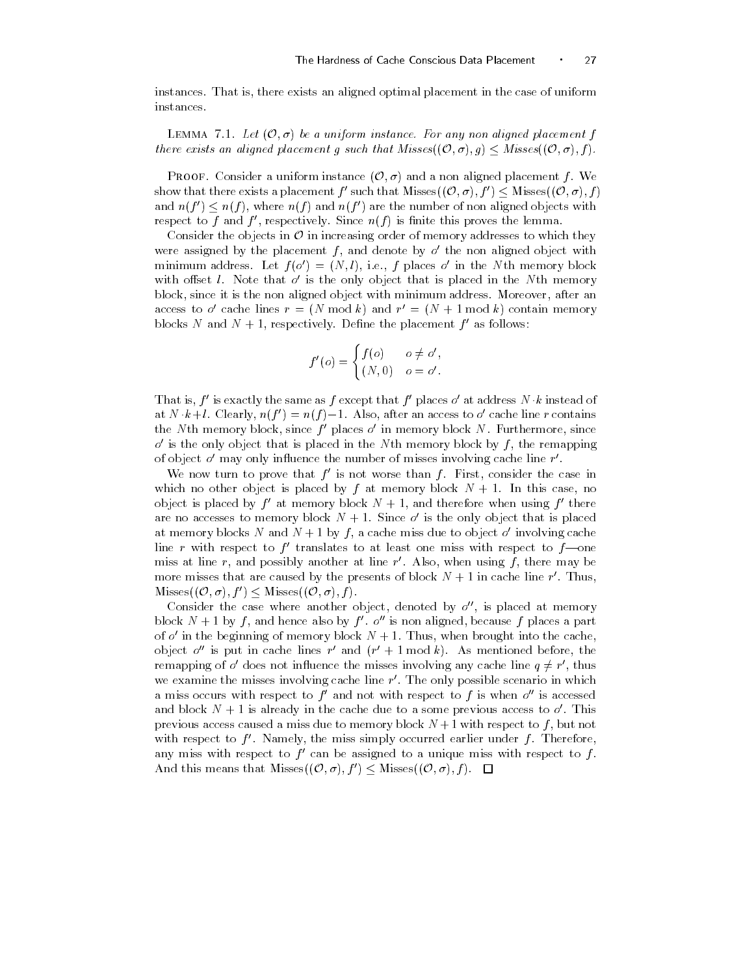instances That is- there exists an aligned optimal placement in the case of uniform instances

LEMMA 7.1. Let  $(0, \sigma)$  be a uniform instance. For any non aligned placement f there exists an aligned placement g such that  $Misses((\mathcal{O}, \sigma), g) \leq Misses((\mathcal{O}, \sigma), f)$ .

**PROOF.** Consider a uniform instance  $(0, \sigma)$  and a non aligned placement f. We show that there exists a placement  $f'$  such that Misses $((\mathcal{O}, \sigma), f') \leq$  Misses $((\mathcal{O}, \sigma), f)$ and  $n(f') \leq n(f)$ , where  $n(f)$  and  $n(f')$  are the number of non aligned objects with respect to  $\bar{I}$  and  $\bar{I}$  , respectively. Since  $n(\bar{I})$  is finite this proves the lemma.

Consider the objects in  $\mathcal O$  in increasing order of memory addresses to which they were assigned by the placement  $f$  , and denote by  $o$  -the non-aligned object with  $\Box$  $\min_{\text{min}}$  address. Let  $f(o) = (N, t)$ , i.e.,  $f$  places  $o$  in the Nth memory block with onset  $\iota$ . Typic that  $o$  is the only object that is placed in the Nth memory after it is the non-term and minimum address with minimum address more and the contract minimum and access to  $o$  -cache lines  $r = (N \mod k)$  and  $r = (N + 1 \mod k)$  contain memory blocks *i* and *i* + 1, respectively. Define the placement  $\bar{r}$  as follows:

$$
f'(o) = \begin{cases} f(o) & o \neq o', \\ (N, 0) & o = o'. \end{cases}
$$

I hat is,  $f$  is exactly the same as  $f$  except that  $f$  -places  $o$  -at address  $N \cdot k$  instead of at  $N \cdot \kappa + i$ . Clearly,  $n(j) = n(j) - 1$ . Also, after an access to o-cache line r contains  $\ln$  in memory block, since  $f$  -places  $o$  -in memory block  $N$  . Furthermore, since  $o$  is the only object that is placed in the TV th memory block by  $f$  , the remapping  $\hspace{0.1mm}$ of object  $o$  -may only influence the number of misses involving cache line  $r$  .

We now turn to prove that  $f$  is not worse than  $f$ . First, consider the case in which no other object is placed by f at memory block N  $\,$  at memory block N  $\,$  at  $\,$  at  $\,$  at  $\,$  at  $\,$  at  $\,$  at  $\,$  at  $\,$  at  $\,$  at  $\,$  at  $\,$  at  $\,$  at  $\,$  at  $\,$  at  $\,$  at  $\,$  at  $\,$  at  $\,$  at object is placed by  $f$  -at memory block  $N+1$ , and therefore when using  $f$  -there  $\hspace{0.1mm}$ are no accesses to memory block  $N + 1$ . Since  $\theta$  is the only object that is placed  $\theta$ at memory blocks *i*v and *i*v  $+$  1 by  $j$  , a cache miss due to object  $o$  -involving cache line  $r$  with respect to  $f$  -translates to at least one miss with respect to  $f$ —one  $\hspace{0.1mm}$ miss at line  $r$ , and possibly another at line  $r$  . Also, when using  $\bar{r}$  , there may be more misses that are caused by the presents of block  $N+1$  in cache line  $r$  . Thus,  $Misses((\mathcal{O}, \sigma), f') \leq Misses((\mathcal{O}, \sigma), f).$ 

Consider the case where another object, denoted by  $o$  , is placed at memory block  $N + 1$  by f, and hence also by f  $\bar{J}$  o is non aligned, because f places a part of  $o$  -in the beginning of memory block  $N+1$ . Thus, when brought into the cache, object  $o$  is put in cache lines  $r$  and  $(r + 1 \bmod \kappa)$ . As mentioned before, the remapping of  $o'$  does not influence the misses involving any cache line  $q \neq r'$ , thus we examine the misses involving cache line  $r$  . The only possible scenario in which  $\blacksquare$ a miss occurs with respect to  $f$  -and not with respect to  $f$  is when  $o$  -is accessed  $\hspace{0.1 cm}$ and block  $N+1$  is already in the cache due to a some previous access to  $\theta$  . This previous access caused a miss due to memory block N with respect to f - but not with respect to  $f$  . Namely, the miss simply occurred earlier under  $f$  . Therefore, any miss with respect to  $f$  can be assigned to a unique miss with respect to  $f$ . And this means that Misses $((\mathcal{O}, \sigma), f') \leq$  Misses $((\mathcal{O}, \sigma), f)$ .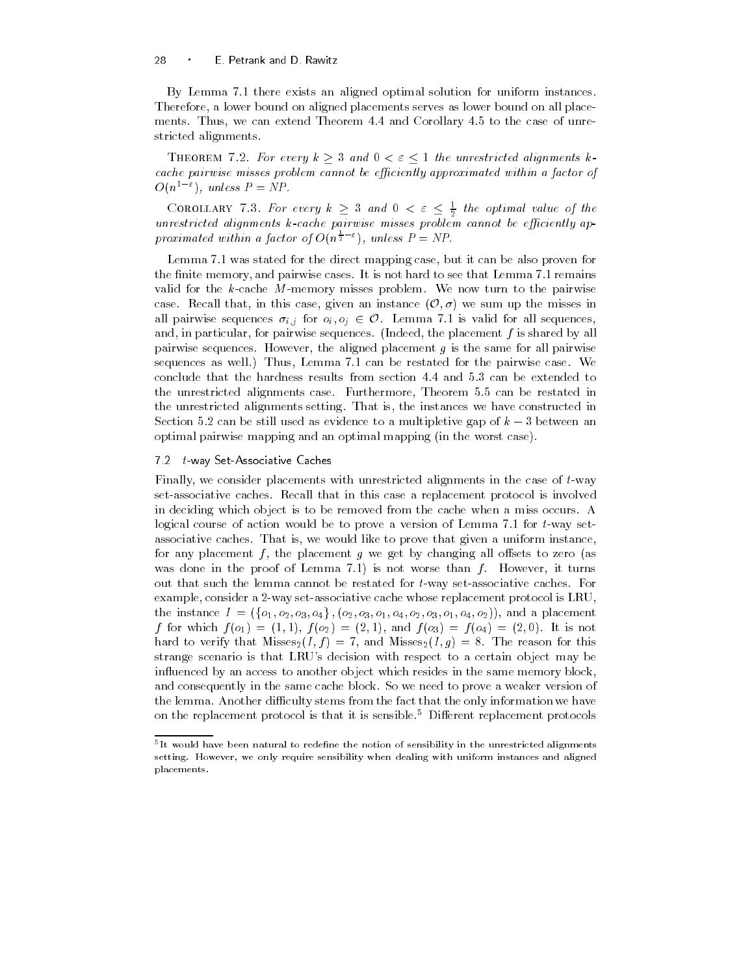By Lemma 7.1 there exists an aligned optimal solution for uniform instances. Therefore- a lower bound on aligned placements serves as lower bound on all place ments Thus- we can extend Theorem and Corollary to the case of unre stricted alignments

THEOREM 7.2. For every  $k\geq 3$  and  $0<\varepsilon\leq 1$  the unrestricted alignments kcache pairwise misses problem cannot be efficiently approximated within a factor of  $O(n^2)$ , unless  $P = NP$ .

COROLLARY 7.3. For every  $k \geq 3$  and  $0 < \varepsilon \leq \frac{1}{2}$  the optimal value of the \_\_ unrestricted alignments kcarehol pairwise misses problem cannot be existently approache be existently approach proximated within a factor of  $O(n^{\frac{1}{2}-\varepsilon})$ , unless  $P = NP$ .

Lemma was stated for the direct mapping case- but it can be also proven for the memory-memory-memory-memory-memory-memory-memory-memory-memory-memory-memory-memory-memory-memory-memory-m valid for the  $k$ -cache M-memory misses problem. We now turn to the pairwise case. Recall that, in this case, given an instance  $(\mathcal{O}, \sigma)$  we sum up the misses in all pairwise sequences  $\sigma_{i,j}$  for  $o_i, o_j \in \mathcal{O}$ . Lemma 7.1 is valid for all sequences, and-by and-by all particular-sequences indeed-by all pairwise sequences independent for all particular for all pairwise sequences However- the aligned placement g is the same for all pairwise sequences as well the pairs of the pair of the pairwise case well pairs where we are well as conclude that the hardness results from section  $4.4$  and  $5.3$  can be extended to the unrestricted alignments case Furthermore- Theorem can be restated in the unrestricted alignments setting That is- the instances we have constructed in Section 5.2 can be still used as evidence to a multipletive gap of  $k-3$  between an optimal pairwise mapping and an optimal mapping (in the worst case).

### -tway SetAssociative Caches Caches Caches Caches Caches Caches Caches Caches Caches Caches Caches Caches Caches

Finally- we consider placements with unrestricted alignments in the case of tway set-associative caches. Recall that in this case a replacement protocol is involved in deciding which object is to be removed from the cache when a miss occurs A logical course of action would be to prove a version of Lemma  $7.1$  for  $t$ -way setassociative caches That is a uniform instance-like that is proved that  $\pi$  and a uniformly instancefor any placement f - the placement g we get by changing all osets to zero as was done in the proof it military for not worse than forms  $\mu$  . The first form in out that such the lemma cannot be restated for  $t$ -way set-associative caches. For example- consider a 
way setassociative cache whose replacement protocol is LRUthe instance  $I = (\{o_1, o_2, o_3, o_4\}, \{o_2, o_3, o_1, o_4, o_2, o_3, o_1, o_4, o_2\}),$  and a placement f for which for which for the form of the form of the form of the form of the following the form of the following the following the following the following the following the following the following the following the follow hard to verify that  $\mathcal{M}$  is the reason for the reason for the reason for the reason for the reason for this contribution of the reason for the reason for the reason for the reason for the reason for the reason for the strange scenario is that LRU's decision with respect to a certain object may be influenced by an access to another object which resides in the same memory block, and consequently in the same cache block. So we need to prove a weaker version of the lemma. Another difficulty stems from the fact that the only information we have on the replacement protocol is that it is sensible.<sup>5</sup> Different replacement protocols

Tit would have been natural to redenne the notion of sensibility in the unrestricted alignments – setting- However we only require sensibility when dealing with uniform instances and aligned placements-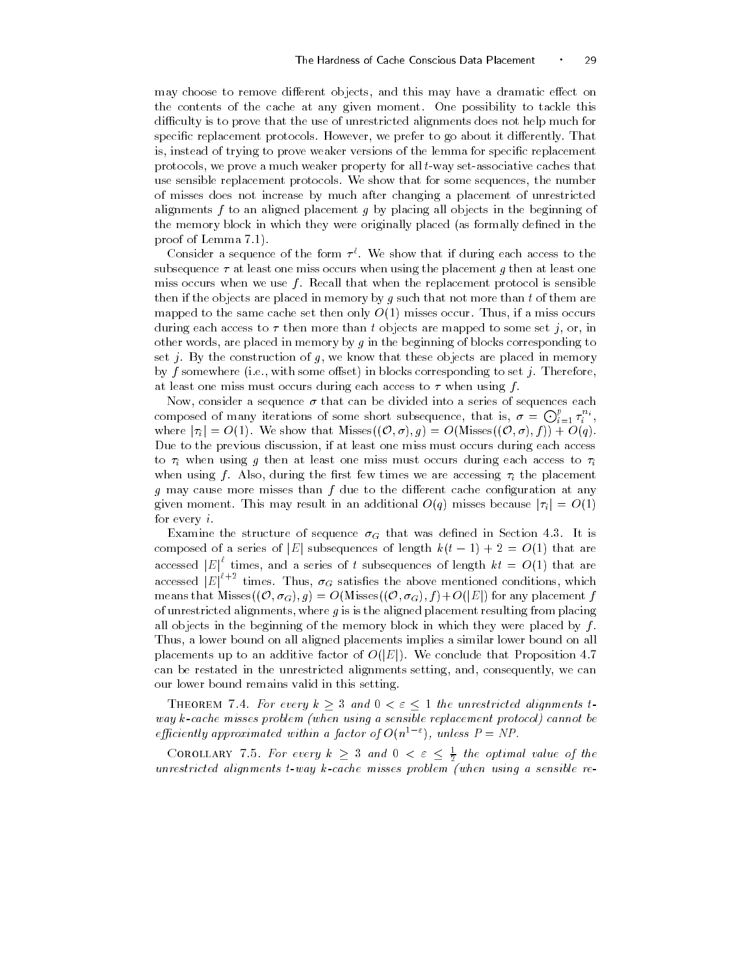may choose to remove dierent objects- and this may have a dramatic eect on the contents of the cache at any given moment One possibility to tackle this difficulty is to prove that the use of unrestricted alignments does not help much for species is pinterious protocols However-Lie protocols at the successive to minimize the model is- instead of trying to prove weaker versions of the lemma for specic replacement protocols- we prove weakers weaker property for motivative and that the call tware that the use sensible replacement protocols We show that for some sequences- the number of misses does not increase by much after changing a placement of unrestricted alignments  $f$  to an aligned placement  $g$  by placing all objects in the beginning of the memory block in which they were originally placed (as formally defined in the proof of Lemma

Consider a sequence of the form  $\tau^*$ . We show that if during each access to the subsequence  $\tau$  at least one miss occurs when using the placement g then at least one miss occurs when we use  $f$ . Recall that when the replacement protocol is sensible then if the objects are placed in memory by g such that not more than t of them are mapped to the same cache set then only O misses occur Thus- if a miss occurs during each access to the more than t objects are more than the more than the some set i-more set i-more set i other words-blocks corresponding in memory by g in the beginning of blocks corresponding to blocks corresponding to blocks corresponding to the blocks corresponding to blocks corresponding to blocks corresponding to the bl est je by the construction of g-construction in memory are placed in memory ( ) . by f somewhere ie- with some oset in blocks corresponding to set j Thereforeat least one miss must occurs during each access to  $\tau$  when using f.

...., consider a sequence in that can be divided into a series of series of series each can be composed of many iterations of some short subsequence, that is,  $\sigma = \bigodot_{i=1}^p \tau_i^{n_i}$ , where  $|\tau_i| = O(1)$ . We show that Misses $((\mathcal{O}, \sigma), g) = O(M$ isses $((\mathcal{O}, \sigma), f)) + O(q)$ . a at least previous discussion, if at least one miss must allow access, and many collection to  $\cdot$  , where some g then at least one miss models one missing each access to  $\cdot$  ,  $\cdot$ where  $\alpha$  is the state function  $\alpha$  are accessing the place  $\alpha$  the placement  $\alpha$  $g$  may cause more misses than  $f$  due to the different cache configuration at any given moment. This may result in an additional  $O(q)$  misses because  $|\tau_i| = O(1)$ for every  $i$ .

 $\mathbb{E} \left[ \begin{array}{c} \mathbb{E} \left[ \mathbb{E} \left[ \mathbb{E} \left[ \mathbb{E} \left[ \mathbb{E} \left[ \mathbb{E} \left[ \mathbb{E} \left[ \mathbb{E} \left[ \mathbb{E} \left[ \mathbb{E} \left[ \mathbb{E} \left[ \mathbb{E} \left[ \mathbb{E} \left[ \mathbb{E} \left[ \mathbb{E} \left[ \mathbb{E} \left[ \mathbb{E} \left[ \mathbb{E} \left[ \mathbb{E} \left[ \mathbb{E} \left[ \mathbb{E} \left[ \mathbb{E} \left[ \mathbb{E}$ composed of a series of |E| subsequences of length  $k(t - 1) + 2 = O(1)$  that are accessed  $|E|^{\epsilon}$  times, and a series of t subsequences of length  $kt = O(1)$  that are accessed  $|E|^{t+2}$  times. Thus,  $\sigma_G$  satisfies the above mentioned conditions, which means that Misses $((\mathcal{O}, \sigma_G), g) = O(M$ isses $((\mathcal{O}, \sigma_G), f) + O(|E|)$  for any placement f of unrestricted alignments-beam placements-induced placements-induced placements-induced placements-induced pl all objects in the beginning of the memory block in which they were placed by  $f$ . . Thus, a lower bound on all aligned placements implies a similar lower bound on all  $\sim$ placements up to an additive factor of  $O(|E|)$ . We conclude that Proposition 4.7 can be restated in the unrestricted alignments setting- and- consequently- we can our lower bound remains valid in this setting

THEOREM 7.4. For every  $k\geq 3$  and  $0<\varepsilon\leq 1$  the unrestricted alignments t way  $k$ -cache misses problem (when using a sensible replacement protocol) cannot be efficiently approximated within a factor of  $O(n^{\gamma-\gamma})$ , unless  $P \equiv NP$ .

COROLLARY 7.5. For every  $k \geq 3$  and  $0 < \varepsilon \leq \frac{1}{2}$  the optimal value of the unrestricted alignments  $t$ -way  $k$ -cache misses problem (when using a sensible re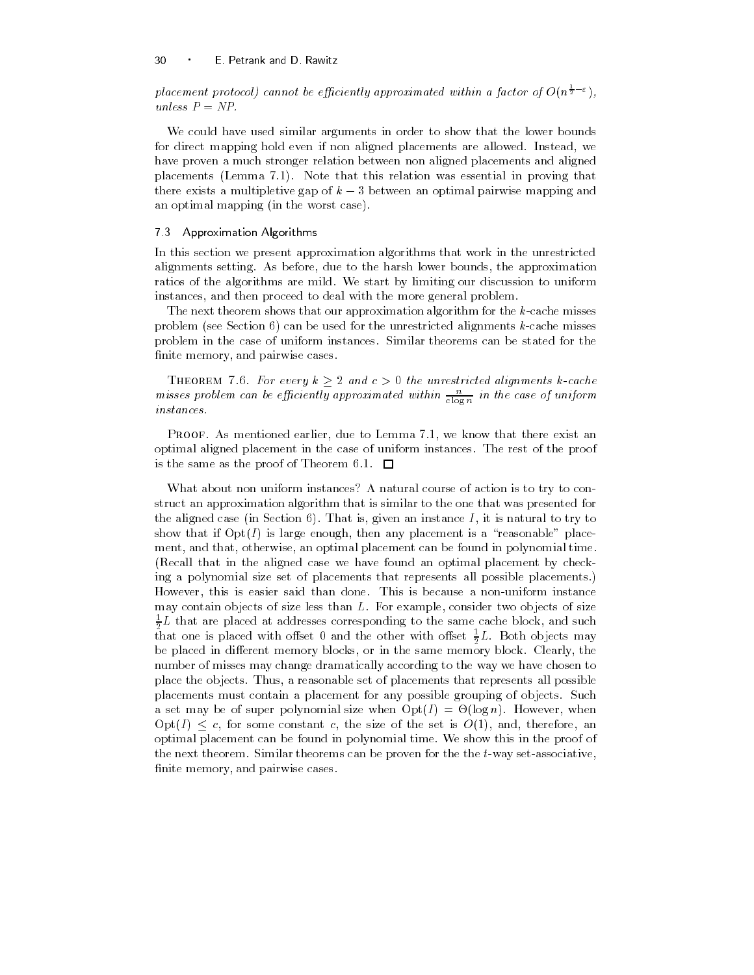placement protocol) cannot be efficiently approximated within a factor of  $O(n^{\frac{1}{2}-\varepsilon})$ , unless  $P = NP$ .

We could have used similar arguments in order to show that the lower bounds for direct mapping hold even if non aligned placements are allowed Instead- we have proven a much stronger relation between non aligned placements and aligned placements (Lemma  $7.1$ ). Note that this relation was essential in proving that there exists a multipletive gap of  $k-3$  between an optimal pairwise mapping and an optimal mapping (in the worst case).

### 7.3 Approximation Algorithms

In this section we present approximation algorithms that work in the unrestricted alignments setting As before- due to the harsh lower bounds- the approximation ratios of the algorithms are mild. We start by limiting our discussion to uniform instances- and then proceed to deal with the more general problem

The next theorem shows that our approximation algorithm for the  $k$ -cache misses problem (see Section  $6$ ) can be used for the unrestricted alignments k-cache misses problem in the case of uniform instances Similar theorems can be stated for the nite memory-beneficial control of the cases of the cases of the cases of the cases of the cases of the cases of

THEOREM 7.6. For every  $k\geq 2$  and  $c>0$  the unrestricted alignments k-cache misses problem can be efficiently approximated within  $\frac{1}{c \log n}$  in the case of uniform instances

Proof As mentioned earlier- due to Lemma - we know that there exist an optimal aligned placement in the case of uniform instances The rest of the proof is the same as the proof of Theorem 6.1.  $\Box$ 

What about non uniform instances? A natural course of action is to try to construct an approximation algorithm that is similar to the one that was presented for the aligned case in Section That is- given an instance I - it is natural to try to show that if OptI is large enough- then any placement is a #reasonable\$ place ment- and that- otherwise- an optimal placement can be found in polynomial time (Recall that in the aligned case we have found an optimal placement by checking a polynomial size set of placements that represents all possible placements However- this is easier said than done This is because a nonuniform instance may contain objects of size less than L For example- consider two objects of size  $\frac{1}{2}L$  that are placed at addresses corresponding to the same cache block, and such that one is placed with offset 0 and the other with offset  $\frac{1}{2}L$ . Both objects may or placed in dierent memory blocks-part in the same memory blocks-partners attacked the same of number of misses may change dramatically according to the way we have chosen to places that is placed thus a reasonable set of places that represents the possible possible that  $\mathbf{r}$ placements must contain a placement for any possible grouping of objects. Such a set may be of super polynomial size when  $\mathbb{R}$  is the optimization of the optimization of the optimization  $Opt(I) \leq c$ , for some constant c, the size of the set is  $O(1)$ , and, therefore, an optimal placement can be found in polynomial time We show this in the proof of the next theorem. Similar theorems can be proven for the the  $t$ -way set-associative, nite memory-beneficial cases of the cases of the cases of the cases of the cases of the cases of the cases of the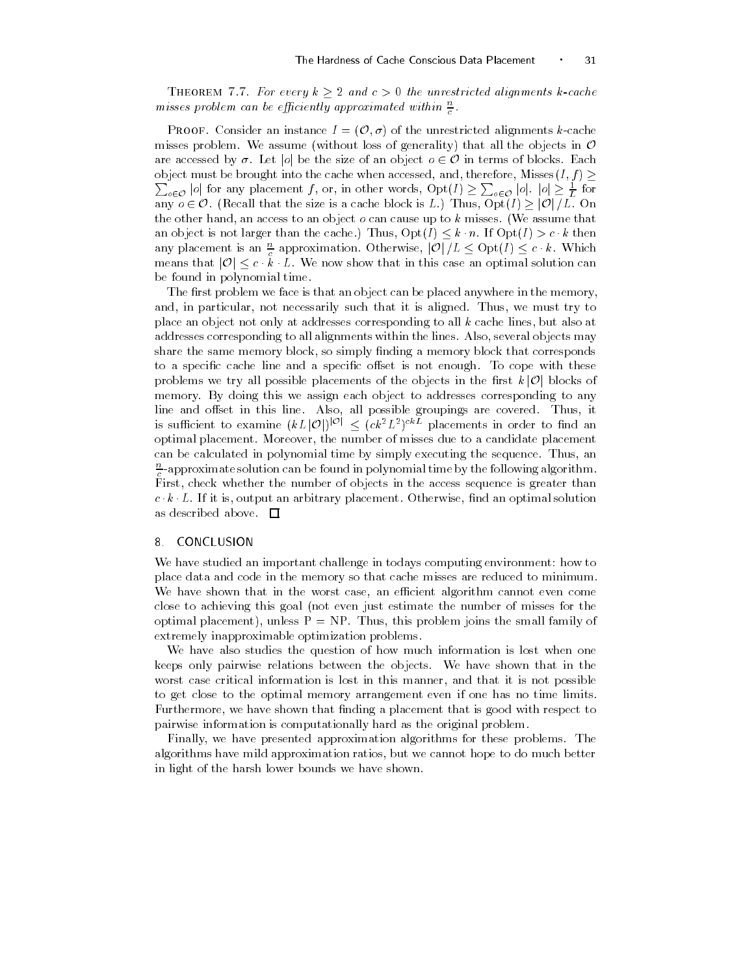THEOREM 7.7. For every  $k\geq 2$  and  $c>0$  the unrestricted alignments k-cache misses problem can be efficiently approximated within  $\frac{\omega}{c}$ .

**PROOF.** Consider an instance  $I = (\mathcal{O}, \sigma)$  of the unrestricted alignments k-cache misses problem. We assume (without loss of generality) that all the objects in  $\mathcal O$ are accessed by  $\sigma$ . Let |o| be the size of an object  $o \in \mathcal{O}$  in terms of blocks. Each object must be brought into the cache when accessed, and, therefore, Misses $(I, f) \geq$  $\sum_{o\in\mathcal{O}}|o|$  for any placement f, or, in other words,  $\mathrm{Opt}(I) \geq \sum_{o\in\mathcal{O}}|o|$ .  $|o| \geq \frac{1}{L}$  for any  $o \in \mathcal{O}$ . (Recall that the size is a cache block is L.) Thus,  $\mathrm{Opt}(I) \geq |\mathcal{O}|/L$ . On the other hand- an access to an object o can cause up to k misses We assume that an object is not larger than the cache.) Thus,  $\mathrm{Opt}(I) \leq k \cdot n$ . If  $\mathrm{Opt}(I) > c \cdot k$  then any placement is an  $\frac{n}{c}$  approximation. Otherwise,  $|\mathcal{O}|/L \leq \mathrm{Opt}(I) \leq c \cdot k$ . Which means that  $|\mathcal{O}| \leq c \cdot \v{k} \cdot L$ . We now show that in this case an optimal solution can be found in polynomial time

The first problem we face is that an object can be placed anywhere in the memory, and-in-must try to not necessarily such that it is aligned Thus-it is aligned Thus-it is aligned Thus-it is al place an object not only at addresses corresponding to all k cache lines- but also at addresses corresponding to all alignments within the lines also-tensity and lines also-tensity also share the sound memory block-plock-memory block-plock-plock-plock-plock-plock-plock-plock-plockto a specific cache line and a specific offset is not enough. To cope with these problems we try all possible placements of the objects in the first  $k|\mathcal{O}|$  blocks of memory. By doing this we assign each object to addresses corresponding to any line and oset in this line Also- all possible groupings are covered Thus- it is sufficient to examine  $(kL|\mathcal{O}|)^{|\mathcal{O}|} \leq (ck^2L^2)^{ck}$  placements in order to find an optimal placement Moreover- the number of misses due to a candidate placement can be calculated in polynomial time by simply executing the sequence Thus- an  $\tilde{\tau}$ -approximate solution can be found in polynomial time by the following algorithm.  $\tilde{}$ First- check whether the number of objects in the access sequence is greater than  $c$   $\kappa$   $\overline{\nu}$ . If it is, output an arbitrary placement. Otherwise, find an optimal solution as described above.  $\Box$ 

## 8 CONCLUSION

We have studied an important challenge in todays computing environment: how to place data and code in the memory so that cache misses are reduced to minimum we have shown that in the worst case- and the shown signal cannot come comes all close to achieving this goal (not even just estimate the number of misses for the optimal placement, matter is the small family of problem joins the small family of extremely inapproximable optimization problems

We have also studies the question of how much information is lost when one keeps only pairwise relations between the objects We have shown that in the worst case critical information is lost in this manner-ly state it is no that it is not possible. to get close to the optimal memory arrangement even if one has no time limits Furthermore- we have shown that nding a placement that is good with respect to pairwise information is computationally hard as the original problem

Finally- we have presented approximation algorithms for these problems The algorithms have mild approximation ratios- but we cannot hope to do much better in light of the harsh lower bounds we have shown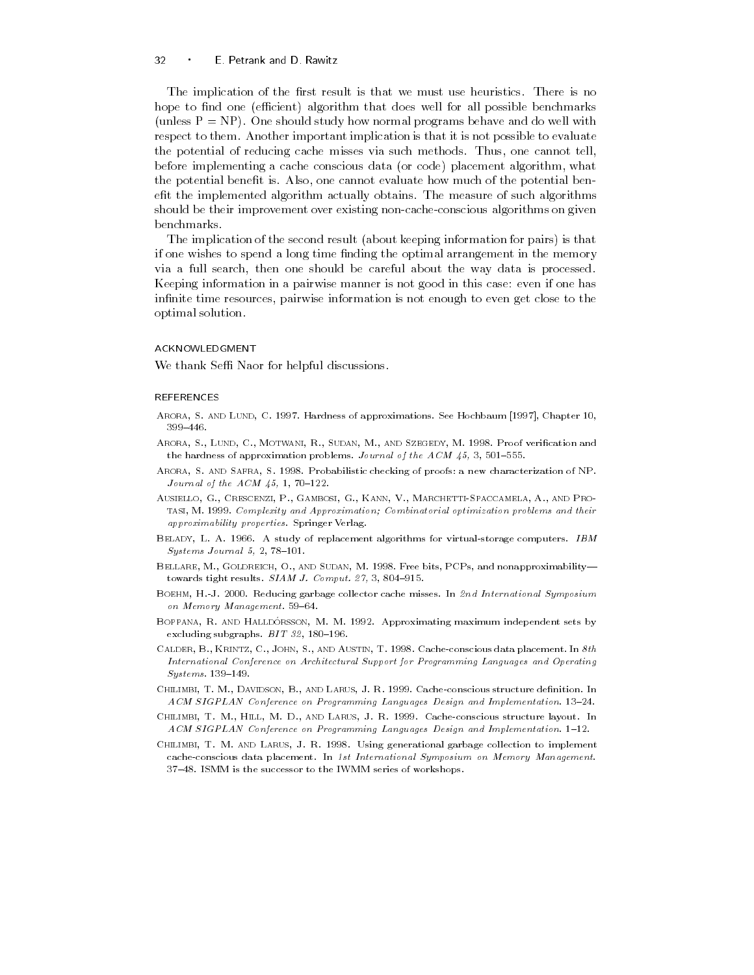### 32 E Petrank and D Rawitz

The implication of the first result is that we must use heuristics. There is no hope to find one (efficient) algorithm that does well for all possible benchmarks (unless  $P = NP$ ). One should study how normal programs behave and do well with respect to them Another important implication is that it is not possible to evaluate the potential of reducing cache misses via such methods Thus- one cannot tellbefore implementing a cache conscious data or code placement algorithm- what the potential benefit is Also-pose cannot evaluate is also the potential benefit is  $\mathcal{L}_{\mathcal{A}}$ efit the implemented algorithm actually obtains. The measure of such algorithms should be their improvement over existing non-cache-conscious algorithms on given benchmarks

The implication of the second result (about keeping information for pairs) is that if one wishes to spend a long time finding the optimal arrangement in the memory via a full search- then one should be careful about the way data is processed Keeping information in a pairwise manner is not good in this case: even if one has inities to the contract pairwise information in the stranger to even give these to the c optimal solution

### ACKNOWLEDGMENT

We thank Seffi Naor for helpful discussions.

### REFERENCES

- Arora S and Lund C Hardness of approximations- See Hochbaum 
 Chapter 399-446.
- Arora S Lund C Motwani R Sudan M and Szegedy M Proof verication and the hardness of approximation problems-dependent problems-dependent problems-dependent problems-dependent problems-
- Arora S and Safra S Probabilistic checking of proofs a new characterization of NP-*Journal of the*  $ACM$  *45, 1, 70-122.*
- Ausiello G Crescenzi P Gambosi G Kann V Marchetti-Spaccamela A and Protasi M - Complexity and Approximation Combinatorial optimization problems and their approximability properties- in the contract of the contract of the contract of the contract of the contract of
- Belady L A A study of replacement algorithms for virtualstorage computers- IBM  $Systems\ Journal\ 5,\ 2,\ 78-101.$
- Bellare M Goldreich O and Sudan M Free bits PCPs and nonapproximability to when the tight results is a statistic form of the statistic order that is a statistic order of the statistic
- Boehm H-J Reducing garbage collector cache misses- In nd International Symposium on Memory Management- -
- Borranni ru and Halldorsson, and M room, hppromineeing memaning meeting meeting sets by excluding substitutions of the substitutions of the substitutions of the substitutions of the substitutions of the substitutions of the substitutions of the substitutions of the substitutions of the substitutions of the su
- Calder B Krintz C John S and Austin T Cacheconscious data placement- In th International Conference on Architectural Support for Programming Languages and Operating  $S$ ustems. 139-149. System and the system of the system of the system of the system of the system of the system of the system of the system of the system of the system of the system of the system of the system of the system of the system of t
- chilimbi T M Davidson B and Larus J R Larus J Larus J R Larus J Larus J Larus J Larus J Larus J active at the metals of the process and a regulationing manigram manigramming complementation- and implementatio
- chilimity to provide the the constructure that the construction of the construction of the construction of the ACM SIGPLAN Conference on Programming Languages Design and Implementation- -
- Chilimbi T M and Larus J R Using generational garbage collection to implement cacheconscious data placement- In st International Symposium on Memory Management-- ISMM is the successor to the successor to the IWMM series of workshops-to-the IWMM series of workshops-to-the